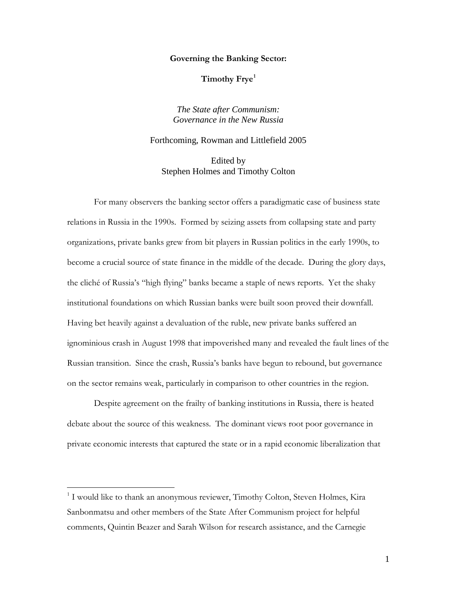**Governing the Banking Sector:**

**Timothy Frye[1](#page-0-0)**

*The State after Communism: Governance in the New Russia*

Forthcoming, Rowman and Littlefield 2005

Edited by Stephen Holmes and Timothy Colton

For many observers the banking sector offers a paradigmatic case of business state relations in Russia in the 1990s. Formed by seizing assets from collapsing state and party organizations, private banks grew from bit players in Russian politics in the early 1990s, to become a crucial source of state finance in the middle of the decade. During the glory days, the cliché of Russia's "high flying" banks became a staple of news reports. Yet the shaky institutional foundations on which Russian banks were built soon proved their downfall. Having bet heavily against a devaluation of the ruble, new private banks suffered an ignominious crash in August 1998 that impoverished many and revealed the fault lines of the Russian transition. Since the crash, Russia's banks have begun to rebound, but governance on the sector remains weak, particularly in comparison to other countries in the region.

Despite agreement on the frailty of banking institutions in Russia, there is heated debate about the source of this weakness. The dominant views root poor governance in private economic interests that captured the state or in a rapid economic liberalization that

<span id="page-0-0"></span> $1$  I would like to thank an anonymous reviewer, Timothy Colton, Steven Holmes, Kira Sanbonmatsu and other members of the State After Communism project for helpful comments, Quintin Beazer and Sarah Wilson for research assistance, and the Carnegie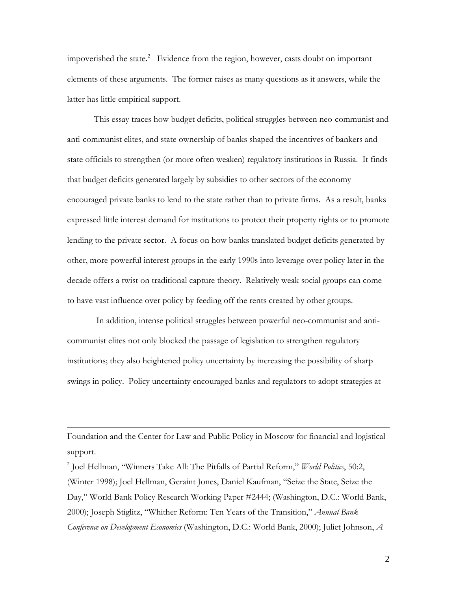impoverished the state. $^{2}$  $^{2}$  $^{2}$  Evidence from the region, however, casts doubt on important elements of these arguments. The former raises as many questions as it answers, while the latter has little empirical support.

This essay traces how budget deficits, political struggles between neo-communist and anti-communist elites, and state ownership of banks shaped the incentives of bankers and state officials to strengthen (or more often weaken) regulatory institutions in Russia. It finds that budget deficits generated largely by subsidies to other sectors of the economy encouraged private banks to lend to the state rather than to private firms. As a result, banks expressed little interest demand for institutions to protect their property rights or to promote lending to the private sector. A focus on how banks translated budget deficits generated by other, more powerful interest groups in the early 1990s into leverage over policy later in the decade offers a twist on traditional capture theory. Relatively weak social groups can come to have vast influence over policy by feeding off the rents created by other groups.

In addition, intense political struggles between powerful neo-communist and anticommunist elites not only blocked the passage of legislation to strengthen regulatory institutions; they also heightened policy uncertainty by increasing the possibility of sharp swings in policy. Policy uncertainty encouraged banks and regulators to adopt strategies at

Foundation and the Center for Law and Public Policy in Moscow for financial and logistical support.

 $\overline{a}$ 

<span id="page-1-0"></span><sup>2</sup> Joel Hellman, "Winners Take All: The Pitfalls of Partial Reform," *World Politics*, 50:2, (Winter 1998); Joel Hellman, Geraint Jones, Daniel Kaufman, "Seize the State, Seize the Day," World Bank Policy Research Working Paper #2444; (Washington, D.C.: World Bank, 2000); Joseph Stiglitz, "Whither Reform: Ten Years of the Transition," *Annual Bank Conference on Development Economics* (Washington, D.C.: World Bank, 2000); Juliet Johnson, *A*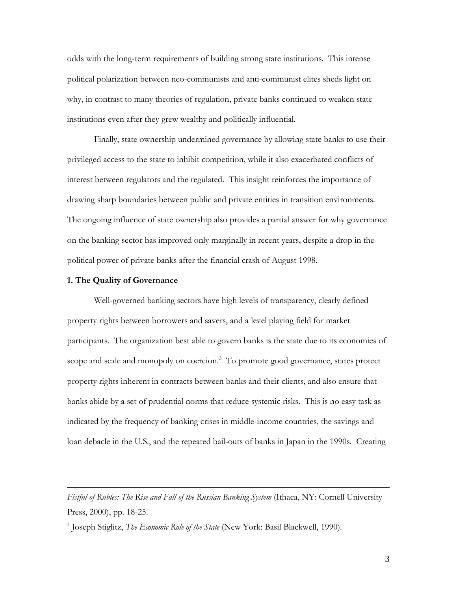odds with the long-term requirements of building strong state institutions. This intense political polarization between neo-communists and anti-communist elites sheds light on why, in contrast to many theories of regulation, private banks continued to weaken state institutions even after they grew wealthy and politically influential.

Finally, state ownership undermined governance by allowing state banks to use their privileged access to the state to inhibit competition, while it also exacerbated conflicts of interest between regulators and the regulated. This insight reinforces the importance of drawing sharp boundaries between public and private entities in transition environments. The ongoing influence of state ownership also provides a partial answer for why governance on the banking sector has improved only marginally in recent years, despite a drop in the political power of private banks after the financial crash of August 1998.

## **1. The Quality of Governance**

 $\overline{a}$ 

Well-governed banking sectors have high levels of transparency, clearly defined property rights between borrowers and savers, and a level playing field for market participants. The organization best able to govern banks is the state due to its economies of scope and scale and monopoly on coercion.<sup>[3](#page-2-0)</sup> To promote good governance, states protect property rights inherent in contracts between banks and their clients, and also ensure that banks abide by a set of prudential norms that reduce systemic risks. This is no easy task as indicated by the frequency of banking crises in middle-income countries, the savings and loan debacle in the U.S., and the repeated bail-outs of banks in Japan in the 1990s. Creating

Fistful of Rubles: The Rise and Fall of the Russian Banking System (Ithaca, NY: Cornell University Press, 2000), pp. 18-25.

<span id="page-2-0"></span><sup>3</sup> Joseph Stiglitz, *The Economic Role of the State* (New York: Basil Blackwell, 1990).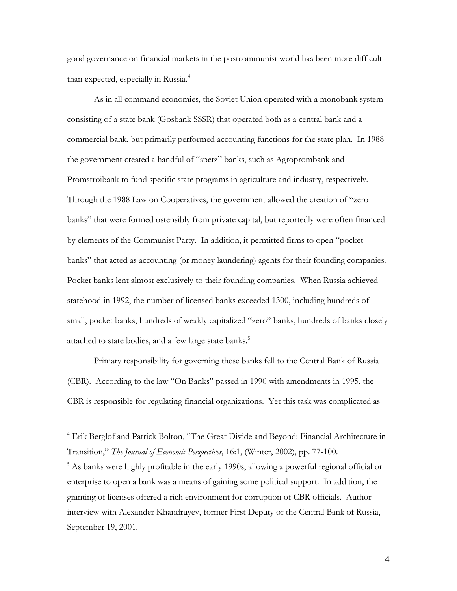good governance on financial markets in the postcommunist world has been more difficult than expected, especially in Russia.<sup>[4](#page-3-0)</sup>

As in all command economies, the Soviet Union operated with a monobank system consisting of a state bank (Gosbank SSSR) that operated both as a central bank and a commercial bank, but primarily performed accounting functions for the state plan. In 1988 the government created a handful of "spetz" banks, such as Agroprombank and Promstroibank to fund specific state programs in agriculture and industry, respectively. Through the 1988 Law on Cooperatives, the government allowed the creation of "zero banks" that were formed ostensibly from private capital, but reportedly were often financed by elements of the Communist Party. In addition, it permitted firms to open "pocket banks" that acted as accounting (or money laundering) agents for their founding companies. Pocket banks lent almost exclusively to their founding companies. When Russia achieved statehood in 1992, the number of licensed banks exceeded 1300, including hundreds of small, pocket banks, hundreds of weakly capitalized "zero" banks, hundreds of banks closely attached to state bodies, and a few large state banks.<sup>[5](#page-3-1)</sup>

Primary responsibility for governing these banks fell to the Central Bank of Russia (CBR). According to the law "On Banks" passed in 1990 with amendments in 1995, the CBR is responsible for regulating financial organizations. Yet this task was complicated as

<span id="page-3-0"></span><sup>&</sup>lt;sup>4</sup> Erik Berglof and Patrick Bolton, "The Great Divide and Beyond: Financial Architecture in Transition," *The Journal of Economic Perspectives*, 16:1, (Winter, 2002), pp. 77-100.

<span id="page-3-1"></span><sup>&</sup>lt;sup>5</sup> As banks were highly profitable in the early 1990s, allowing a powerful regional official or enterprise to open a bank was a means of gaining some political support. In addition, the granting of licenses offered a rich environment for corruption of CBR officials. Author interview with Alexander Khandruyev, former First Deputy of the Central Bank of Russia, September 19, 2001.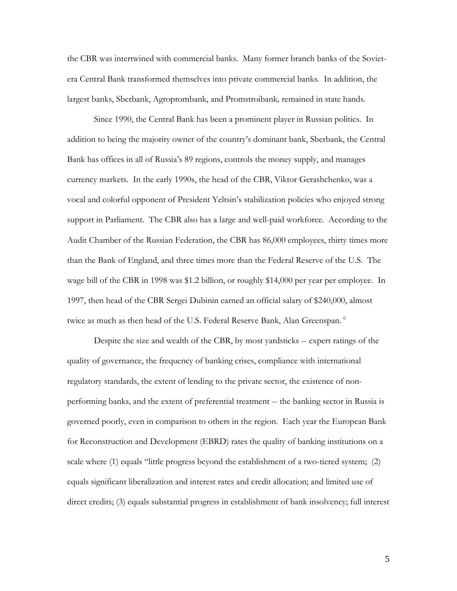the CBR was intertwined with commercial banks. Many former branch banks of the Sovietera Central Bank transformed themselves into private commercial banks. In addition, the largest banks, Sberbank, Agroprombank, and Promstroibank*,* remained in state hands.

Since 1990, the Central Bank has been a prominent player in Russian politics. In addition to being the majority owner of the country's dominant bank, Sberbank, the Central Bank has offices in all of Russia's 89 regions, controls the money supply, and manages currency markets. In the early 1990s, the head of the CBR, Viktor Gerashchenko, was a vocal and colorful opponent of President Yeltsin's stabilization policies who enjoyed strong support in Parliament. The CBR also has a large and well-paid workforce. According to the Audit Chamber of the Russian Federation, the CBR has 86,000 employees, thirty times more than the Bank of England, and three times more than the Federal Reserve of the U.S. The wage bill of the CBR in 1998 was \$1.2 billion, or roughly \$14,000 per year per employee. In 1997, then head of the CBR Sergei Dubinin earned an official salary of \$240,000, almost twice as much as then head of the U.S. Federal Reserve Bank, Alan Greenspan.<sup>[6](#page-4-0)</sup>

<span id="page-4-0"></span>Despite the size and wealth of the CBR, by most yardsticks -- expert ratings of the quality of governance, the frequency of banking crises, compliance with international regulatory standards, the extent of lending to the private sector, the existence of nonperforming banks, and the extent of preferential treatment -- the banking sector in Russia is governed poorly, even in comparison to others in the region. Each year the European Bank for Reconstruction and Development (EBRD) rates the quality of banking institutions on a scale where (1) equals "little progress beyond the establishment of a two-tiered system; (2) equals significant liberalization and interest rates and credit allocation; and limited use of direct credits; (3) equals substantial progress in establishment of bank insolvency; full interest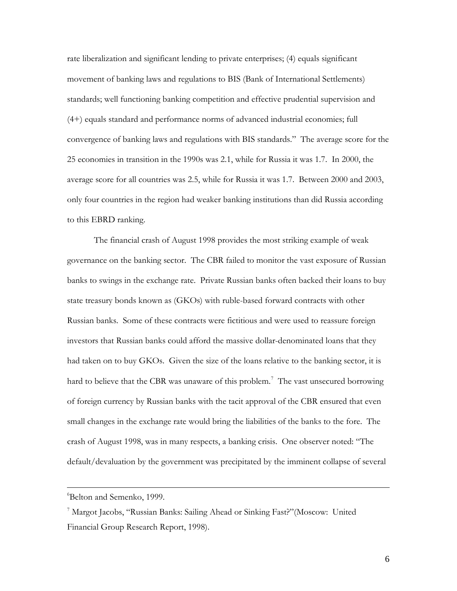rate liberalization and significant lending to private enterprises; (4) equals significant movement of banking laws and regulations to BIS (Bank of International Settlements) standards; well functioning banking competition and effective prudential supervision and (4+) equals standard and performance norms of advanced industrial economies; full convergence of banking laws and regulations with BIS standards." The average score for the 25 economies in transition in the 1990s was 2.1, while for Russia it was 1.7. In 2000, the average score for all countries was 2.5, while for Russia it was 1.7. Between 2000 and 2003, only four countries in the region had weaker banking institutions than did Russia according to this EBRD ranking.

The financial crash of August 1998 provides the most striking example of weak governance on the banking sector. The CBR failed to monitor the vast exposure of Russian banks to swings in the exchange rate. Private Russian banks often backed their loans to buy state treasury bonds known as (GKOs) with ruble-based forward contracts with other Russian banks. Some of these contracts were fictitious and were used to reassure foreign investors that Russian banks could afford the massive dollar-denominated loans that they had taken on to buy GKOs. Given the size of the loans relative to the banking sector, it is hard to believe that the CBR was unaware of this problem.<sup>[7](#page-5-0)</sup> The vast unsecured borrowing of foreign currency by Russian banks with the tacit approval of the CBR ensured that even small changes in the exchange rate would bring the liabilities of the banks to the fore. The crash of August 1998, was in many respects, a banking crisis. One observer noted: "The default/devaluation by the government was precipitated by the imminent collapse of several

<sup>6</sup> Belton and Semenko, 1999.

<span id="page-5-0"></span><sup>7</sup> Margot Jacobs, "Russian Banks: Sailing Ahead or Sinking Fast?"(Moscow: United Financial Group Research Report, 1998).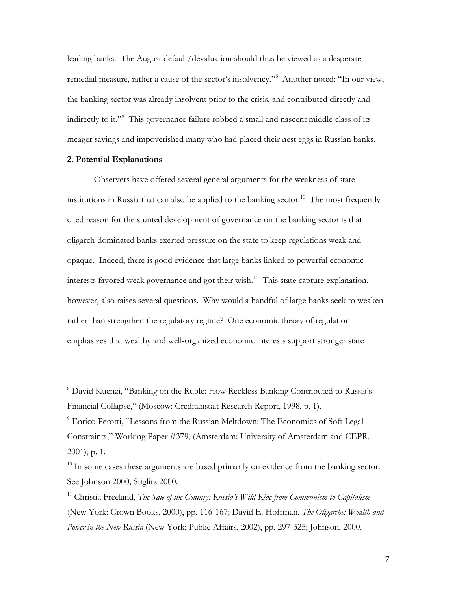leading banks. The August default/devaluation should thus be viewed as a desperate remedial measure, rather a cause of the sector's insolvency."<sup>[8](#page-6-0)</sup> Another noted: "In our view, the banking sector was already insolvent prior to the crisis, and contributed directly and indirectly to it."<sup>[9](#page-6-1)</sup> This governance failure robbed a small and nascent middle-class of its meager savings and impoverished many who had placed their nest eggs in Russian banks.

# **2. Potential Explanations**

 $\overline{a}$ 

Observers have offered several general arguments for the weakness of state institutions in Russia that can also be applied to the banking sector.<sup>[10](#page-6-2)</sup> The most frequently cited reason for the stunted development of governance on the banking sector is that oligarch-dominated banks exerted pressure on the state to keep regulations weak and opaque. Indeed, there is good evidence that large banks linked to powerful economic interests favored weak governance and got their wish.<sup>[11](#page-6-3)</sup> This state capture explanation, however, also raises several questions. Why would a handful of large banks seek to weaken rather than strengthen the regulatory regime? One economic theory of regulation emphasizes that wealthy and well-organized economic interests support stronger state

<span id="page-6-0"></span><sup>8</sup> David Kuenzi, "Banking on the Ruble: How Reckless Banking Contributed to Russia's Financial Collapse," (Moscow: Creditanstalt Research Report, 1998, p. 1).

<span id="page-6-1"></span><sup>&</sup>lt;sup>9</sup> Enrico Perotti, "Lessons from the Russian Meltdown: The Economics of Soft Legal Constraints," Working Paper #379, (Amsterdam: University of Amsterdam and CEPR, 2001), p. 1.

<span id="page-6-2"></span><sup>&</sup>lt;sup>10</sup> In some cases these arguments are based primarily on evidence from the banking sector. See Johnson 2000; Stiglitz 2000.

<span id="page-6-3"></span><sup>11</sup> Christia Freeland, *The Sale of the Century: Russia's Wild Ride from Communism to Capitalism* (New York: Crown Books, 2000), pp. 116-167; David E. Hoffman, *The Oligarchs: Wealth and Power in the New Russia* (New York: Public Affairs, 2002), pp. 297-325; Johnson, 2000.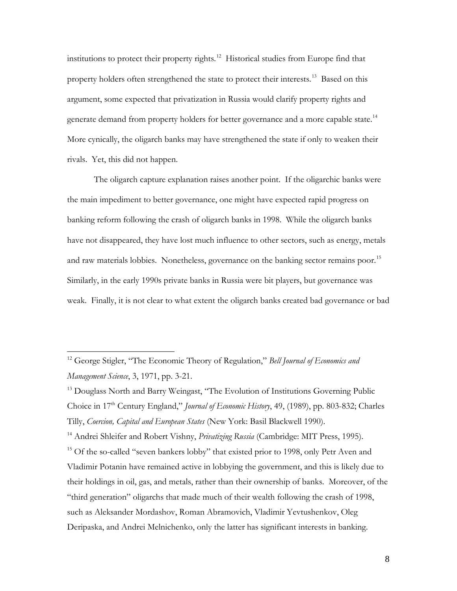institutions to protect their property rights.[12](#page-7-0) Historical studies from Europe find that property holders often strengthened the state to protect their interests.<sup>[13](#page-7-1)</sup> Based on this argument, some expected that privatization in Russia would clarify property rights and generate demand from property holders for better governance and a more capable state.<sup>[14](#page-7-2)</sup> More cynically, the oligarch banks may have strengthened the state if only to weaken their rivals. Yet, this did not happen.

The oligarch capture explanation raises another point. If the oligarchic banks were the main impediment to better governance, one might have expected rapid progress on banking reform following the crash of oligarch banks in 1998. While the oligarch banks have not disappeared, they have lost much influence to other sectors, such as energy, metals and raw materials lobbies. Nonetheless, governance on the banking sector remains poor.<sup>[15](#page-7-3)</sup> Similarly, in the early 1990s private banks in Russia were bit players, but governance was weak. Finally, it is not clear to what extent the oligarch banks created bad governance or bad

 $\overline{a}$ 

<span id="page-7-3"></span><span id="page-7-2"></span><sup>14</sup> Andrei Shleifer and Robert Vishny, *Privatizing Russia* (Cambridge: MIT Press, 1995). <sup>15</sup> Of the so-called "seven bankers lobby" that existed prior to 1998, only Petr Aven and Vladimir Potanin have remained active in lobbying the government, and this is likely due to their holdings in oil, gas, and metals, rather than their ownership of banks. Moreover, of the "third generation" oligarchs that made much of their wealth following the crash of 1998, such as Aleksander Mordashov, Roman Abramovich, Vladimir Yevtushenkov, Oleg Deripaska, and Andrei Melnichenko, only the latter has significant interests in banking.

<span id="page-7-0"></span><sup>12</sup> George Stigler, "The Economic Theory of Regulation," *Bell Journal of Economics and Management Science*, 3, 1971, pp. 3-21.

<span id="page-7-1"></span><sup>&</sup>lt;sup>13</sup> Douglass North and Barry Weingast, "The Evolution of Institutions Governing Public Choice in 17<sup>th</sup> Century England," *Journal of Economic History*, 49, (1989), pp. 803-832; Charles Tilly, *Coercion, Capital and European States* (New York: Basil Blackwell 1990).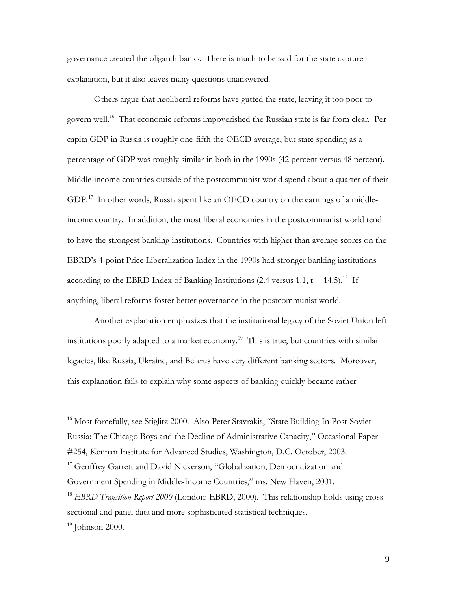governance created the oligarch banks. There is much to be said for the state capture explanation, but it also leaves many questions unanswered.

Others argue that neoliberal reforms have gutted the state, leaving it too poor to govern well.<sup>[16](#page-8-0)</sup> That economic reforms impoverished the Russian state is far from clear. Per capita GDP in Russia is roughly one-fifth the OECD average, but state spending as a percentage of GDP was roughly similar in both in the 1990s (42 percent versus 48 percent). Middle-income countries outside of the postcommunist world spend about a quarter of their GDP.<sup>17</sup> In other words, Russia spent like an OECD country on the earnings of a middleincome country. In addition, the most liberal economies in the postcommunist world tend to have the strongest banking institutions. Countries with higher than average scores on the EBRD's 4-point Price Liberalization Index in the 1990s had stronger banking institutions according to the EBRD Index of Banking Institutions (2.4 versus 1.1,  $t = 14.5$ ).<sup>[18](#page-8-2)</sup> If anything, liberal reforms foster better governance in the postcommunist world.

Another explanation emphasizes that the institutional legacy of the Soviet Union left institutions poorly adapted to a market economy. [19](#page-8-3) This is true, but countries with similar legacies, like Russia, Ukraine, and Belarus have very different banking sectors. Moreover, this explanation fails to explain why some aspects of banking quickly became rather

<span id="page-8-0"></span><sup>16</sup> Most forcefully, see Stiglitz 2000. Also Peter Stavrakis, "State Building In Post-Soviet Russia: The Chicago Boys and the Decline of Administrative Capacity," Occasional Paper #254, Kennan Institute for Advanced Studies, Washington, D.C. October, 2003.

<span id="page-8-1"></span><sup>17</sup> Geoffrey Garrett and David Nickerson, "Globalization, Democratization and Government Spending in Middle-Income Countries," ms. New Haven, 2001.

<span id="page-8-2"></span><sup>&</sup>lt;sup>18</sup> EBRD Transition Report 2000 (London: EBRD, 2000). This relationship holds using crosssectional and panel data and more sophisticated statistical techniques.

<span id="page-8-3"></span> $19$  Johnson 2000.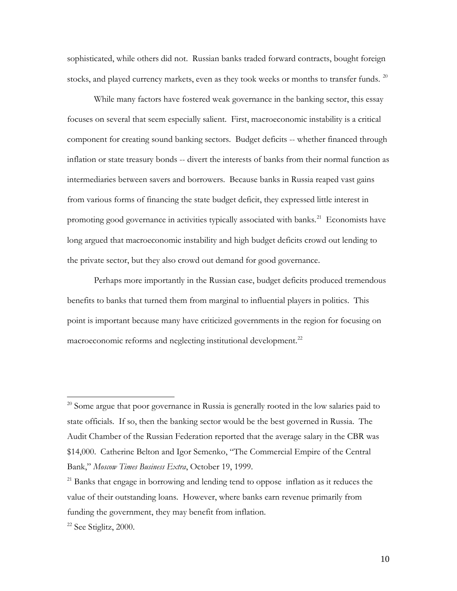sophisticated, while others did not. Russian banks traded forward contracts, bought foreign stocks, and played currency markets, even as they took weeks or months to transfer funds.<sup>[20](#page-9-0)</sup>

While many factors have fostered weak governance in the banking sector, this essay focuses on several that seem especially salient. First, macroeconomic instability is a critical component for creating sound banking sectors. Budget deficits -- whether financed through inflation or state treasury bonds -- divert the interests of banks from their normal function as intermediaries between savers and borrowers. Because banks in Russia reaped vast gains from various forms of financing the state budget deficit, they expressed little interest in promoting good governance in activities typically associated with banks.<sup>[21](#page-9-1)</sup> Economists have long argued that macroeconomic instability and high budget deficits crowd out lending to the private sector, but they also crowd out demand for good governance.

Perhaps more importantly in the Russian case, budget deficits produced tremendous benefits to banks that turned them from marginal to influential players in politics. This point is important because many have criticized governments in the region for focusing on macroeconomic reforms and neglecting institutional development.<sup>[22](#page-9-2)</sup>

<span id="page-9-0"></span><sup>&</sup>lt;sup>20</sup> Some argue that poor governance in Russia is generally rooted in the low salaries paid to state officials. If so, then the banking sector would be the best governed in Russia. The Audit Chamber of the Russian Federation reported that the average salary in the CBR was \$14,000. Catherine Belton and Igor Semenko, "The Commercial Empire of the Central Bank," *Moscow Times Business Extra*, October 19, 1999.

<span id="page-9-1"></span> $21$  Banks that engage in borrowing and lending tend to oppose inflation as it reduces the value of their outstanding loans. However, where banks earn revenue primarily from funding the government, they may benefit from inflation.

<span id="page-9-2"></span><sup>&</sup>lt;sup>22</sup> See Stiglitz, 2000.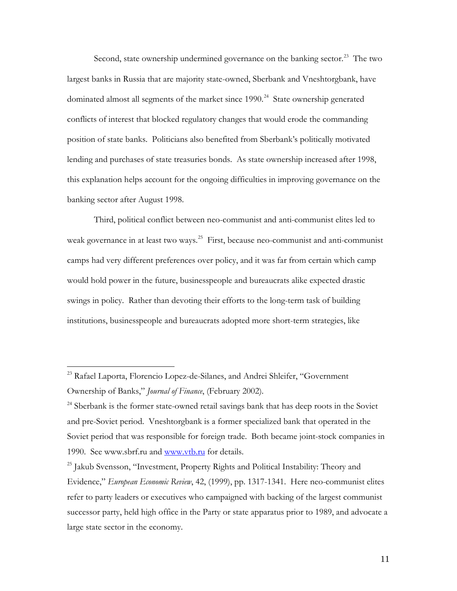Second, state ownership undermined governance on the banking sector. $^{23}$  $^{23}$  $^{23}$  The two largest banks in Russia that are majority state-owned, Sberbank and Vneshtorgbank, have dominated almost all segments of the market since 1990.<sup>[24](#page-10-1)</sup> State ownership generated conflicts of interest that blocked regulatory changes that would erode the commanding position of state banks. Politicians also benefited from Sberbank's politically motivated lending and purchases of state treasuries bonds. As state ownership increased after 1998, this explanation helps account for the ongoing difficulties in improving governance on the banking sector after August 1998.

Third, political conflict between neo-communist and anti-communist elites led to weak governance in at least two ways.<sup>[25](#page-10-2)</sup> First, because neo-communist and anti-communist camps had very different preferences over policy, and it was far from certain which camp would hold power in the future, businesspeople and bureaucrats alike expected drastic swings in policy. Rather than devoting their efforts to the long-term task of building institutions, businesspeople and bureaucrats adopted more short-term strategies, like

<span id="page-10-0"></span><sup>&</sup>lt;sup>23</sup> Rafael Laporta, Florencio Lopez-de-Silanes, and Andrei Shleifer, "Government Ownership of Banks," *Journal of Finance*, (February 2002)*.*

<span id="page-10-1"></span><sup>&</sup>lt;sup>24</sup> Sberbank is the former state-owned retail savings bank that has deep roots in the Soviet and pre-Soviet period. Vneshtorgbank is a former specialized bank that operated in the Soviet period that was responsible for foreign trade. Both became joint-stock companies in 1990. See www.sbrf.ru and [www.vtb.ru](http://www.vtb.ru/) for details.

<span id="page-10-2"></span><sup>&</sup>lt;sup>25</sup> Jakub Svensson, "Investment, Property Rights and Political Instability: Theory and Evidence," *European Economic Review*, 42, (1999), pp. 1317-1341. Here neo-communist elites refer to party leaders or executives who campaigned with backing of the largest communist successor party, held high office in the Party or state apparatus prior to 1989, and advocate a large state sector in the economy.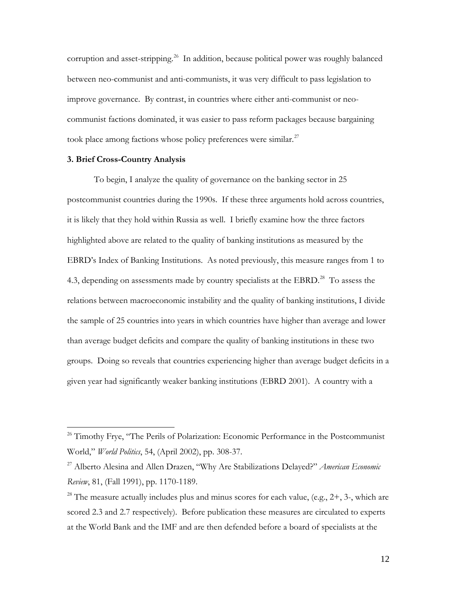corruption and asset-stripping.<sup>[26](#page-11-0)</sup> In addition, because political power was roughly balanced between neo-communist and anti-communists, it was very difficult to pass legislation to improve governance. By contrast, in countries where either anti-communist or neocommunist factions dominated, it was easier to pass reform packages because bargaining took place among factions whose policy preferences were similar.<sup>[27](#page-11-1)</sup>

# **3. Brief Cross-Country Analysis**

 $\overline{a}$ 

To begin, I analyze the quality of governance on the banking sector in 25 postcommunist countries during the 1990s. If these three arguments hold across countries, it is likely that they hold within Russia as well. I briefly examine how the three factors highlighted above are related to the quality of banking institutions as measured by the EBRD's Index of Banking Institutions. As noted previously, this measure ranges from 1 to 4.3, depending on assessments made by country specialists at the EBRD. $^{28}$  $^{28}$  $^{28}$  To assess the relations between macroeconomic instability and the quality of banking institutions, I divide the sample of 25 countries into years in which countries have higher than average and lower than average budget deficits and compare the quality of banking institutions in these two groups. Doing so reveals that countries experiencing higher than average budget deficits in a given year had significantly weaker banking institutions (EBRD 2001). A country with a

<span id="page-11-0"></span> $26$  Timothy Frye, "The Perils of Polarization: Economic Performance in the Postcommunist World," *World Politics*, 54, (April 2002), pp. 308-37.

<span id="page-11-1"></span><sup>27</sup> Alberto Alesina and Allen Drazen, "Why Are Stabilizations Delayed?" *American Economic Review*, 81, (Fall 1991), pp. 1170-1189.

<span id="page-11-2"></span><sup>&</sup>lt;sup>28</sup> The measure actually includes plus and minus scores for each value, (e.g.,  $2+$ ,  $3-$ , which are scored 2.3 and 2.7 respectively). Before publication these measures are circulated to experts at the World Bank and the IMF and are then defended before a board of specialists at the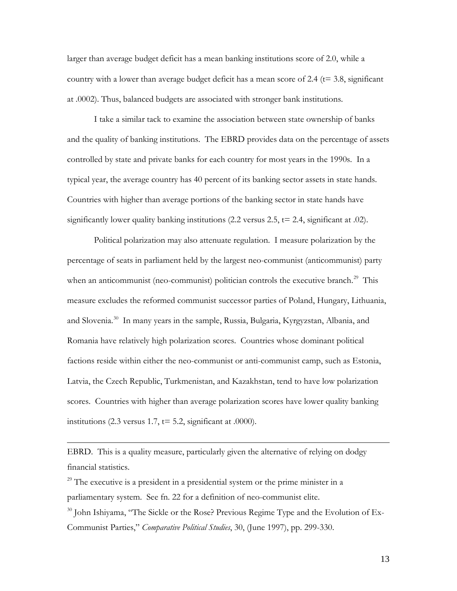larger than average budget deficit has a mean banking institutions score of 2.0, while a country with a lower than average budget deficit has a mean score of 2.4 ( $t=$  3.8, significant at .0002). Thus, balanced budgets are associated with stronger bank institutions.

I take a similar tack to examine the association between state ownership of banks and the quality of banking institutions. The EBRD provides data on the percentage of assets controlled by state and private banks for each country for most years in the 1990s. In a typical year, the average country has 40 percent of its banking sector assets in state hands. Countries with higher than average portions of the banking sector in state hands have significantly lower quality banking institutions  $(2.2 \text{ versus } 2.5, \text{t} = 2.4, \text{ significant at } .02)$ .

Political polarization may also attenuate regulation. I measure polarization by the percentage of seats in parliament held by the largest neo-communist (anticommunist) party when an anticommunist (neo-communist) politician controls the executive branch. $^{29}$  $^{29}$  $^{29}$  This measure excludes the reformed communist successor parties of Poland, Hungary, Lithuania, and Slovenia.<sup>[30](#page-12-1)</sup> In many years in the sample, Russia, Bulgaria, Kyrgyzstan, Albania, and Romania have relatively high polarization scores. Countries whose dominant political factions reside within either the neo-communist or anti-communist camp, such as Estonia, Latvia, the Czech Republic, Turkmenistan, and Kazakhstan, tend to have low polarization scores. Countries with higher than average polarization scores have lower quality banking institutions (2.3 versus 1.7,  $t = 5.2$ , significant at .0000).

EBRD. This is a quality measure, particularly given the alternative of relying on dodgy financial statistics.

<span id="page-12-0"></span> $29$  The executive is a president in a presidential system or the prime minister in a parliamentary system. See fn. 22 for a definition of neo-communist elite.

 $\overline{a}$ 

<span id="page-12-1"></span> $30$  John Ishiyama, "The Sickle or the Rose? Previous Regime Type and the Evolution of Ex-Communist Parties," *Comparative Political Studies*, 30, (June 1997), pp. 299-330.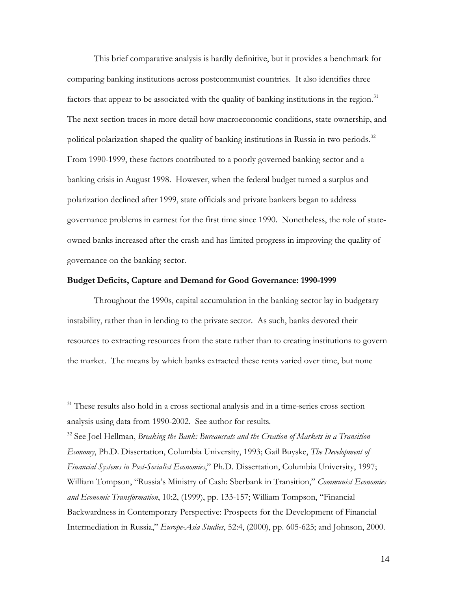This brief comparative analysis is hardly definitive, but it provides a benchmark for comparing banking institutions across postcommunist countries. It also identifies three factors that appear to be associated with the quality of banking institutions in the region. $31$ The next section traces in more detail how macroeconomic conditions, state ownership, and political polarization shaped the quality of banking institutions in Russia in two periods.<sup>[32](#page-13-1)</sup> From 1990-1999, these factors contributed to a poorly governed banking sector and a banking crisis in August 1998. However, when the federal budget turned a surplus and polarization declined after 1999, state officials and private bankers began to address governance problems in earnest for the first time since 1990. Nonetheless, the role of stateowned banks increased after the crash and has limited progress in improving the quality of governance on the banking sector.

#### **Budget Deficits, Capture and Demand for Good Governance: 1990-1999**

Throughout the 1990s, capital accumulation in the banking sector lay in budgetary instability, rather than in lending to the private sector. As such, banks devoted their resources to extracting resources from the state rather than to creating institutions to govern the market. The means by which banks extracted these rents varied over time, but none

 $\overline{a}$ 

<span id="page-13-1"></span><sup>32</sup> See Joel Hellman, *Breaking the Bank: Bureaucrats and the Creation of Markets in a Transition Economy*, Ph.D. Dissertation, Columbia University, 1993; Gail Buyske, *The Development of Financial Systems in Post-Socialist Economies*," Ph.D. Dissertation, Columbia University, 1997; William Tompson, "Russia's Ministry of Cash: Sberbank in Transition," *Communist Economies and Economic Transformation*, 10:2, (1999), pp. 133-157; William Tompson, "Financial Backwardness in Contemporary Perspective: Prospects for the Development of Financial Intermediation in Russia," *Europe-Asia Studies*, 52:4, (2000), pp. 605-625; and Johnson, 2000.

<span id="page-13-0"></span><sup>&</sup>lt;sup>31</sup> These results also hold in a cross sectional analysis and in a time-series cross section analysis using data from 1990-2002. See author for results.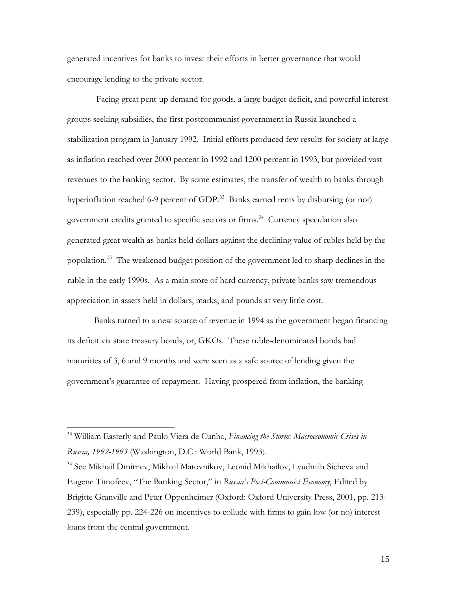generated incentives for banks to invest their efforts in better governance that would encourage lending to the private sector.

Facing great pent-up demand for goods, a large budget deficit, and powerful interest groups seeking subsidies, the first postcommunist government in Russia launched a stabilization program in January 1992. Initial efforts produced few results for society at large as inflation reached over 2000 percent in 1992 and 1200 percent in 1993, but provided vast revenues to the banking sector. By some estimates, the transfer of wealth to banks through hyperinflation reached 6-9 percent of GDP.<sup>33</sup> Banks earned rents by disbursing (or not) government credits granted to specific sectors or firms.<sup>[34](#page-14-1)</sup> Currency speculation also generated great wealth as banks held dollars against the declining value of rubles held by the population.<sup>[35](#page-14-2)</sup> The weakened budget position of the government led to sharp declines in the ruble in the early 1990s. As a main store of hard currency, private banks saw tremendous appreciation in assets held in dollars, marks, and pounds at very little cost.

Banks turned to a new source of revenue in 1994 as the government began financing its deficit via state treasury bonds, or, GKOs. These ruble-denominated bonds had maturities of 3, 6 and 9 months and were seen as a safe source of lending given the government's guarantee of repayment. Having prospered from inflation, the banking

<span id="page-14-2"></span><span id="page-14-0"></span><sup>33</sup> William Easterly and Paulo Viera de Cunha, *Financing the Storm: Macroeconomic Crises in Russia, 1992-1993* (Washington, D.C.: World Bank, 1993).

<span id="page-14-1"></span><sup>34</sup> See Mikhail Dmitriev, Mikhail Matovnikov, Leonid Mikhailov, Lyudmila Sicheva and Eugene Timofeev, "The Banking Sector," in *Russia's Post-Communist Economy*, Edited by Brigitte Granville and Peter Oppenheimer (Oxford: Oxford University Press, 2001, pp. 213- 239), especially pp. 224-226 on incentives to collude with firms to gain low (or no) interest loans from the central government.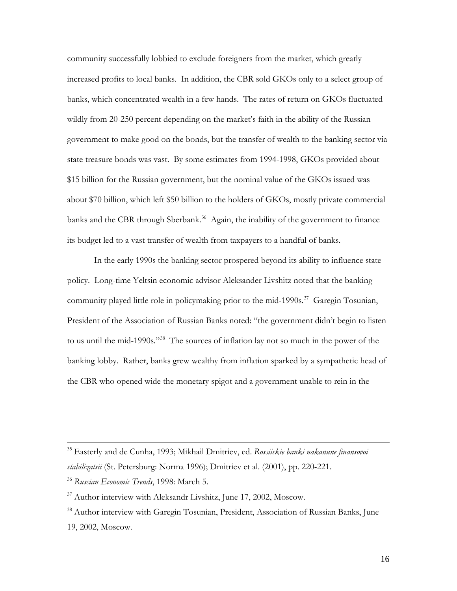community successfully lobbied to exclude foreigners from the market, which greatly increased profits to local banks. In addition, the CBR sold GKOs only to a select group of banks, which concentrated wealth in a few hands. The rates of return on GKOs fluctuated wildly from 20-250 percent depending on the market's faith in the ability of the Russian government to make good on the bonds, but the transfer of wealth to the banking sector via state treasure bonds was vast. By some estimates from 1994-1998, GKOs provided about \$15 billion for the Russian government, but the nominal value of the GKOs issued was about \$70 billion, which left \$50 billion to the holders of GKOs, mostly private commercial banks and the CBR through Sberbank.<sup>[36](#page-15-0)</sup> Again, the inability of the government to finance its budget led to a vast transfer of wealth from taxpayers to a handful of banks.

In the early 1990s the banking sector prospered beyond its ability to influence state policy. Long-time Yeltsin economic advisor Aleksander Livshitz noted that the banking community played little role in policymaking prior to the mid-1990s. [37](#page-15-1) Garegin Tosunian, President of the Association of Russian Banks noted: "the government didn't begin to listen to us until the mid-1990s."<sup>[38](#page-15-2)</sup> The sources of inflation lay not so much in the power of the banking lobby. Rather, banks grew wealthy from inflation sparked by a sympathetic head of the CBR who opened wide the monetary spigot and a government unable to rein in the

<sup>35</sup> Easterly and de Cunha, 1993; Mikhail Dmitriev, ed. *Rossiiskie banki nakanune finansovoi stabilizatsii* (St. Petersburg: Norma 1996); Dmitriev et al. (2001), pp. 220-221.

<span id="page-15-0"></span><sup>36</sup> *Russian Economic Trends*, 1998: March 5.

<span id="page-15-1"></span> $37$  Author interview with Aleksandr Livshitz, June 17, 2002, Moscow.

<span id="page-15-2"></span><sup>&</sup>lt;sup>38</sup> Author interview with Garegin Tosunian, President, Association of Russian Banks, June 19, 2002, Moscow.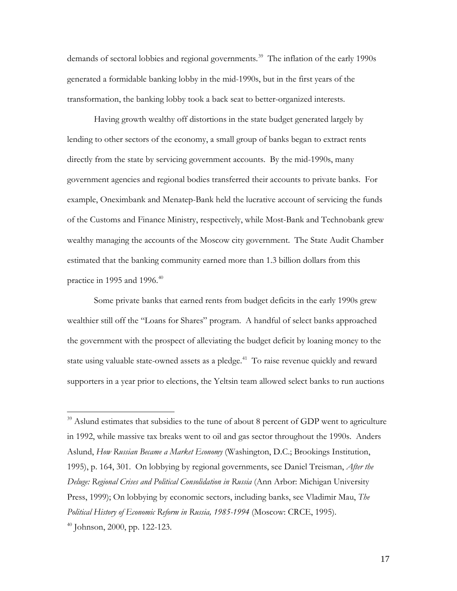demands of sectoral lobbies and regional governments.<sup>[39](#page-16-0)</sup> The inflation of the early 1990s generated a formidable banking lobby in the mid-1990s, but in the first years of the transformation, the banking lobby took a back seat to better-organized interests.

Having growth wealthy off distortions in the state budget generated largely by lending to other sectors of the economy, a small group of banks began to extract rents directly from the state by servicing government accounts. By the mid-1990s, many government agencies and regional bodies transferred their accounts to private banks. For example, Oneximbank and Menatep-Bank held the lucrative account of servicing the funds of the Customs and Finance Ministry, respectively, while Most-Bank and Technobank grew wealthy managing the accounts of the Moscow city government. The State Audit Chamber estimated that the banking community earned more than 1.3 billion dollars from this practice in 1995 and 1996. [40](#page-16-1)

Some private banks that earned rents from budget deficits in the early 1990s grew wealthier still off the "Loans for Shares" program. A handful of select banks approached the government with the prospect of alleviating the budget deficit by loaning money to the state using valuable state-owned assets as a pledge.<sup>[41](#page-16-2)</sup> To raise revenue quickly and reward supporters in a year prior to elections, the Yeltsin team allowed select banks to run auctions

<span id="page-16-2"></span><span id="page-16-0"></span><sup>&</sup>lt;sup>39</sup> Aslund estimates that subsidies to the tune of about 8 percent of GDP went to agriculture in 1992, while massive tax breaks went to oil and gas sector throughout the 1990s. Anders Aslund, *How Russian Became a Market Economy* (Washington, D.C.; Brookings Institution, 1995), p. 164, 301. On lobbying by regional governments, see Daniel Treisman, *After the Deluge: Regional Crises and Political Consolidation in Russia* (Ann Arbor: Michigan University Press, 1999); On lobbying by economic sectors, including banks, see Vladimir Mau, *The Political History of Economic Reform in Russia, 1985-1994* (Moscow: CRCE, 1995).

<span id="page-16-1"></span> $40$  Johnson, 2000, pp. 122-123.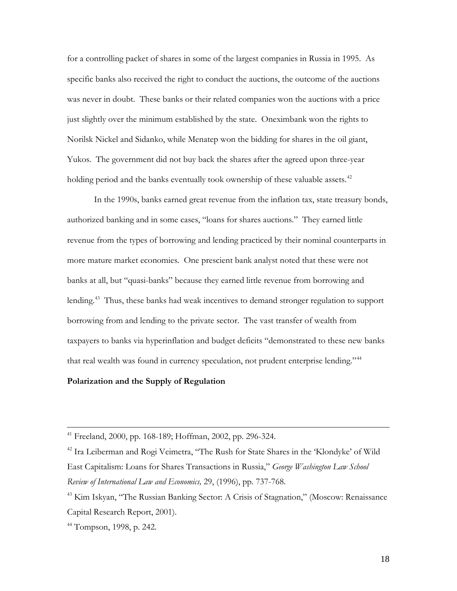for a controlling packet of shares in some of the largest companies in Russia in 1995. As specific banks also received the right to conduct the auctions, the outcome of the auctions was never in doubt. These banks or their related companies won the auctions with a price just slightly over the minimum established by the state. Oneximbank won the rights to Norilsk Nickel and Sidanko, while Menatep won the bidding for shares in the oil giant, Yukos. The government did not buy back the shares after the agreed upon three-year holding period and the banks eventually took ownership of these valuable assets.<sup>[42](#page-17-0)</sup>

In the 1990s, banks earned great revenue from the inflation tax, state treasury bonds, authorized banking and in some cases, "loans for shares auctions." They earned little revenue from the types of borrowing and lending practiced by their nominal counterparts in more mature market economies. One prescient bank analyst noted that these were not banks at all, but "quasi-banks" because they earned little revenue from borrowing and lending. [43](#page-17-1) Thus, these banks had weak incentives to demand stronger regulation to support borrowing from and lending to the private sector. The vast transfer of wealth from taxpayers to banks via hyperinflation and budget deficits "demonstrated to these new banks that real wealth was found in currency speculation, not prudent enterprise lending."<sup>[44](#page-17-2)</sup>

# **Polarization and the Supply of Regulation**

 $41$  Freeland, 2000, pp. 168-189; Hoffman, 2002, pp. 296-324.

<span id="page-17-0"></span><sup>&</sup>lt;sup>42</sup> Ira Leiberman and Rogi Veimetra, "The Rush for State Shares in the 'Klondyke' of Wild East Capitalism: Loans for Shares Transactions in Russia," *George Washington Law School Review of International Law and Economics,* 29, (1996), pp. 737-768.

<span id="page-17-1"></span><sup>&</sup>lt;sup>43</sup> Kim Iskyan, "The Russian Banking Sector: A Crisis of Stagnation," (Moscow: Renaissance Capital Research Report, 2001).

<span id="page-17-2"></span> $44$  Tompson, 1998, p. 242.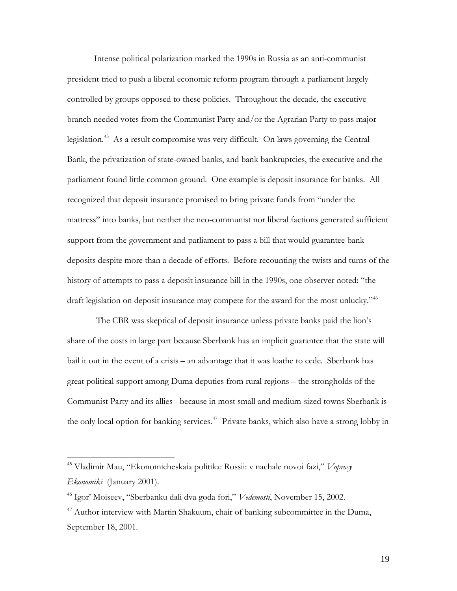Intense political polarization marked the 1990s in Russia as an anti-communist president tried to push a liberal economic reform program through a parliament largely controlled by groups opposed to these policies. Throughout the decade, the executive branch needed votes from the Communist Party and/or the Agrarian Party to pass major legislation.<sup>45</sup> As a result compromise was very difficult. On laws governing the Central Bank, the privatization of state-owned banks, and bank bankruptcies, the executive and the parliament found little common ground. One example is deposit insurance for banks. All recognized that deposit insurance promised to bring private funds from "under the mattress" into banks, but neither the neo-communist nor liberal factions generated sufficient support from the government and parliament to pass a bill that would guarantee bank deposits despite more than a decade of efforts. Before recounting the twists and turns of the history of attempts to pass a deposit insurance bill in the 1990s, one observer noted: "the draft legislation on deposit insurance may compete for the award for the most unlucky."<sup>[46](#page-18-1)</sup>

The CBR was skeptical of deposit insurance unless private banks paid the lion's share of the costs in large part because Sberbank has an implicit guarantee that the state will bail it out in the event of a crisis – an advantage that it was loathe to cede. Sberbank has great political support among Duma deputies from rural regions – the strongholds of the Communist Party and its allies - because in most small and medium-sized towns Sberbank is the only local option for banking services.<sup>[47](#page-18-2)</sup> Private banks, which also have a strong lobby in

<span id="page-18-0"></span><sup>45</sup> Vladimir Mau, "Ekonomicheskaia politika: Rossii: v nachale novoi fazi," *Voprosy Ekonomiki* (January 2001).

<span id="page-18-1"></span><sup>46</sup> Igor' Moiseev, "Sberbanku dali dva goda fori," *Vedemosti*, November 15, 2002.

<span id="page-18-2"></span> $47$  Author interview with Martin Shakuum, chair of banking subcommittee in the Duma, September 18, 2001.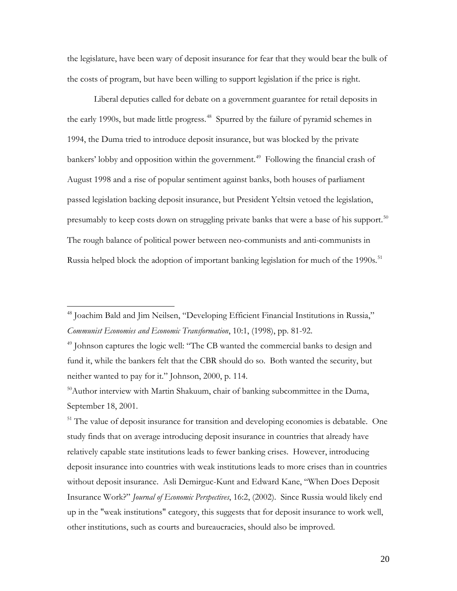the legislature, have been wary of deposit insurance for fear that they would bear the bulk of the costs of program, but have been willing to support legislation if the price is right.

Liberal deputies called for debate on a government guarantee for retail deposits in the early 1990s, but made little progress.<sup>48</sup> Spurred by the failure of pyramid schemes in 1994, the Duma tried to introduce deposit insurance, but was blocked by the private bankers' lobby and opposition within the government.<sup>49</sup> Following the financial crash of August 1998 and a rise of popular sentiment against banks, both houses of parliament passed legislation backing deposit insurance, but President Yeltsin vetoed the legislation, presumably to keep costs down on struggling private banks that were a base of his support.<sup>[50](#page-19-2)</sup> The rough balance of political power between neo-communists and anti-communists in Russia helped block the adoption of important banking legislation for much of the 1990s.<sup>[51](#page-19-3)</sup>

 $\overline{a}$ 

<span id="page-19-3"></span><sup>51</sup> The value of deposit insurance for transition and developing economies is debatable. One study finds that on average introducing deposit insurance in countries that already have relatively capable state institutions leads to fewer banking crises. However, introducing deposit insurance into countries with weak institutions leads to more crises than in countries without deposit insurance. Asli Demirguc-Kunt and Edward Kane, "When Does Deposit Insurance Work?" *Journal of Economic Perspectives*, 16:2, (2002). Since Russia would likely end up in the "weak institutions" category, this suggests that for deposit insurance to work well, other institutions, such as courts and bureaucracies, should also be improved.

<span id="page-19-0"></span><sup>&</sup>lt;sup>48</sup> Joachim Bald and Jim Neilsen, "Developing Efficient Financial Institutions in Russia," *Communist Economies and Economic Transformation*, 10:1, (1998), pp. 81-92.

<span id="page-19-1"></span><sup>&</sup>lt;sup>49</sup> Johnson captures the logic well: "The CB wanted the commercial banks to design and fund it, while the bankers felt that the CBR should do so. Both wanted the security, but neither wanted to pay for it." Johnson, 2000, p. 114.

<span id="page-19-2"></span> $50$ Author interview with Martin Shakuum, chair of banking subcommittee in the Duma, September 18, 2001.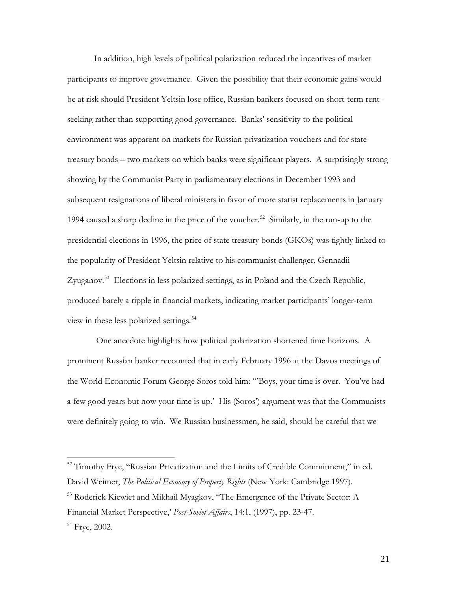In addition, high levels of political polarization reduced the incentives of market participants to improve governance. Given the possibility that their economic gains would be at risk should President Yeltsin lose office, Russian bankers focused on short-term rentseeking rather than supporting good governance. Banks' sensitivity to the political environment was apparent on markets for Russian privatization vouchers and for state treasury bonds – two markets on which banks were significant players. A surprisingly strong showing by the Communist Party in parliamentary elections in December 1993 and subsequent resignations of liberal ministers in favor of more statist replacements in January 1994 caused a sharp decline in the price of the voucher.<sup>52</sup> Similarly, in the run-up to the presidential elections in 1996, the price of state treasury bonds (GKOs) was tightly linked to the popularity of President Yeltsin relative to his communist challenger, Gennadii Zyuganov.<sup>53</sup> Elections in less polarized settings, as in Poland and the Czech Republic, produced barely a ripple in financial markets, indicating market participants' longer-term view in these less polarized settings.<sup>[54](#page-20-2)</sup>

One anecdote highlights how political polarization shortened time horizons. A prominent Russian banker recounted that in early February 1996 at the Davos meetings of the World Economic Forum George Soros told him: "'Boys, your time is over. You've had a few good years but now your time is up.' His (Soros') argument was that the Communists were definitely going to win. We Russian businessmen, he said, should be careful that we

<span id="page-20-0"></span><sup>&</sup>lt;sup>52</sup> Timothy Frye, "Russian Privatization and the Limits of Credible Commitment," in ed. David Weimer, *The Political Economy of Property Rights* (New York: Cambridge 1997).

<span id="page-20-2"></span><span id="page-20-1"></span><sup>&</sup>lt;sup>53</sup> Roderick Kiewiet and Mikhail Myagkov, "The Emergence of the Private Sector: A Financial Market Perspective,' *Post-Soviet Affairs*, 14:1, (1997), pp. 23-47. <sup>54</sup> Frye, 2002.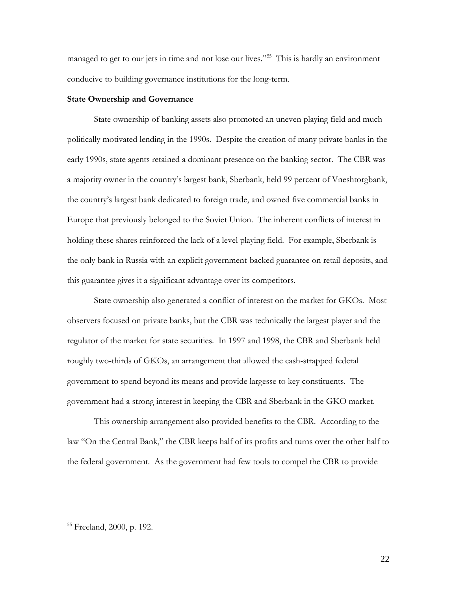managed to get to our jets in time and not lose our lives."<sup>[55](#page-21-0)</sup> This is hardly an environment conducive to building governance institutions for the long-term.

# **State Ownership and Governance**

State ownership of banking assets also promoted an uneven playing field and much politically motivated lending in the 1990s. Despite the creation of many private banks in the early 1990s, state agents retained a dominant presence on the banking sector. The CBR was a majority owner in the country's largest bank, Sberbank, held 99 percent of Vneshtorgbank, the country's largest bank dedicated to foreign trade, and owned five commercial banks in Europe that previously belonged to the Soviet Union. The inherent conflicts of interest in holding these shares reinforced the lack of a level playing field. For example, Sberbank is the only bank in Russia with an explicit government-backed guarantee on retail deposits, and this guarantee gives it a significant advantage over its competitors.

State ownership also generated a conflict of interest on the market for GKOs. Most observers focused on private banks, but the CBR was technically the largest player and the regulator of the market for state securities. In 1997 and 1998, the CBR and Sberbank held roughly two-thirds of GKOs, an arrangement that allowed the cash-strapped federal government to spend beyond its means and provide largesse to key constituents. The government had a strong interest in keeping the CBR and Sberbank in the GKO market.

This ownership arrangement also provided benefits to the CBR. According to the law "On the Central Bank," the CBR keeps half of its profits and turns over the other half to the federal government. As the government had few tools to compel the CBR to provide

<span id="page-21-0"></span><sup>55</sup> Freeland, 2000, p. 192.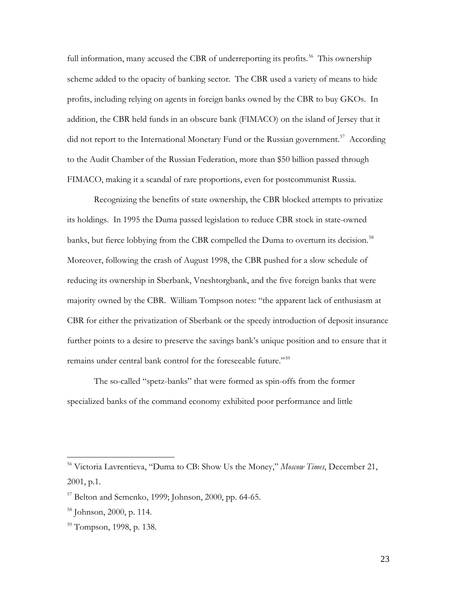full information, many accused the CBR of underreporting its profits.<sup>56</sup> This ownership scheme added to the opacity of banking sector. The CBR used a variety of means to hide profits, including relying on agents in foreign banks owned by the CBR to buy GKOs. In addition, the CBR held funds in an obscure bank (FIMACO) on the island of Jersey that it did not report to the International Monetary Fund or the Russian government.<sup>[57](#page-22-1)</sup> According to the Audit Chamber of the Russian Federation, more than \$50 billion passed through FIMACO, making it a scandal of rare proportions, even for postcommunist Russia.

Recognizing the benefits of state ownership, the CBR blocked attempts to privatize its holdings. In 1995 the Duma passed legislation to reduce CBR stock in state-owned banks, but fierce lobbying from the CBR compelled the Duma to overturn its decision.<sup>[58](#page-22-2)</sup> Moreover, following the crash of August 1998, the CBR pushed for a slow schedule of reducing its ownership in Sberbank, Vneshtorgbank, and the five foreign banks that were majority owned by the CBR. William Tompson notes: "the apparent lack of enthusiasm at CBR for either the privatization of Sberbank or the speedy introduction of deposit insurance further points to a desire to preserve the savings bank's unique position and to ensure that it remains under central bank control for the foreseeable future."[59](#page-22-3)

The so-called "spetz-banks" that were formed as spin-offs from the former specialized banks of the command economy exhibited poor performance and little

<span id="page-22-0"></span><sup>56</sup> Victoria Lavrentieva, "Duma to CB: Show Us the Money," *Moscow Times*, December 21, 2001, p.1.

<span id="page-22-1"></span><sup>57</sup> Belton and Semenko, 1999; Johnson, 2000, pp. 64-65.

<span id="page-22-2"></span> $58$  Johnson, 2000, p. 114.

<span id="page-22-3"></span><sup>59</sup> Tompson, 1998, p. 138.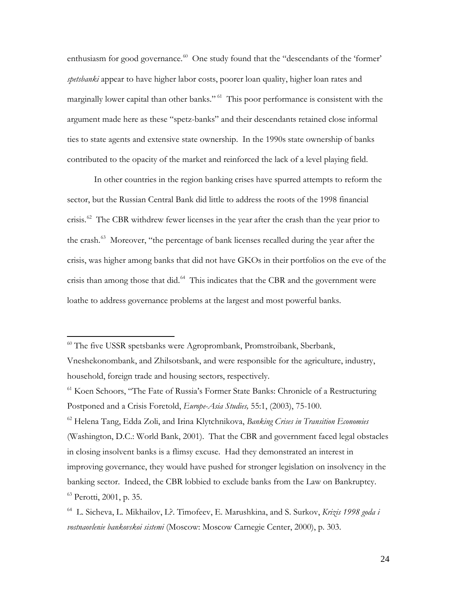enthusiasm for good governance.<sup>60</sup> One study found that the "descendants of the 'former' *spetsbanki* appear to have higher labor costs, poorer loan quality, higher loan rates and marginally lower capital than other banks." <sup>[61](#page-23-1)</sup> This poor performance is consistent with the argument made here as these "spetz-banks" and their descendants retained close informal ties to state agents and extensive state ownership. In the 1990s state ownership of banks contributed to the opacity of the market and reinforced the lack of a level playing field.

In other countries in the region banking crises have spurred attempts to reform the sector, but the Russian Central Bank did little to address the roots of the 1998 financial crisis.<sup>62</sup> The CBR withdrew fewer licenses in the year after the crash than the year prior to the crash.[63](#page-23-3) Moreover, "the percentage of bank licenses recalled during the year after the crisis, was higher among banks that did not have GKOs in their portfolios on the eve of the crisis than among those that did.<sup>[64](#page-23-4)</sup> This indicates that the CBR and the government were loathe to address governance problems at the largest and most powerful banks.

 $\overline{a}$ 

<span id="page-23-2"></span><sup>62</sup> Helena Tang, Edda Zoli, and Irina Klytchnikova, *Banking Crises in Transition Economies*  (Washington, D.C.: World Bank, 2001). That the CBR and government faced legal obstacles in closing insolvent banks is a flimsy excuse. Had they demonstrated an interest in improving governance, they would have pushed for stronger legislation on insolvency in the banking sector. Indeed, the CBR lobbied to exclude banks from the Law on Bankruptcy.  $63$  Perotti, 2001, p. 35.

<span id="page-23-0"></span><sup>60</sup> The five USSR spetsbanks were Agroprombank, Promstroibank, Sberbank, Vneshekonombank, and Zhilsotsbank, and were responsible for the agriculture, industry,

household, foreign trade and housing sectors, respectively.

<span id="page-23-1"></span><sup>&</sup>lt;sup>61</sup> Koen Schoors, "The Fate of Russia's Former State Banks: Chronicle of a Restructuring Postponed and a Crisis Foretold, *Europe-Asia Studies,* 55:1, (2003), 75-100.

<span id="page-23-4"></span><span id="page-23-3"></span><sup>64</sup> L. Sicheva, L. Mikhailov, L?. Timofeev, E. Marushkina, and S. Surkov, *Krizis 1998 goda i vostnaovlenie bankovskoi sistemi* (Moscow: Moscow Carnegie Center, 2000), p. 303.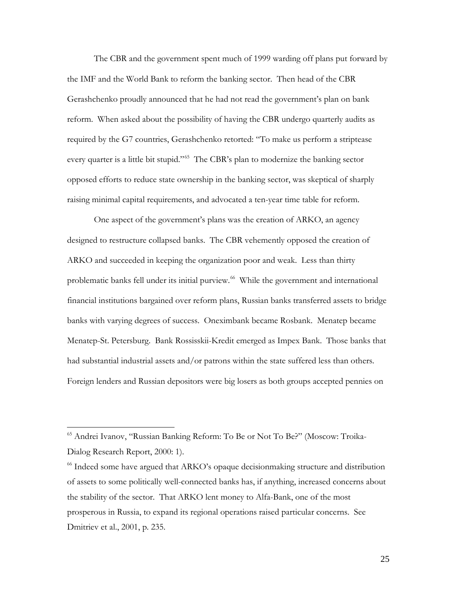The CBR and the government spent much of 1999 warding off plans put forward by the IMF and the World Bank to reform the banking sector. Then head of the CBR Gerashchenko proudly announced that he had not read the government's plan on bank reform. When asked about the possibility of having the CBR undergo quarterly audits as required by the G7 countries, Gerashchenko retorted: "To make us perform a striptease every quarter is a little bit stupid."<sup>[65](#page-24-0)</sup> The CBR's plan to modernize the banking sector opposed efforts to reduce state ownership in the banking sector, was skeptical of sharply raising minimal capital requirements, and advocated a ten-year time table for reform.

One aspect of the government's plans was the creation of ARKO, an agency designed to restructure collapsed banks. The CBR vehemently opposed the creation of ARKO and succeeded in keeping the organization poor and weak. Less than thirty problematic banks fell under its initial purview. [66](#page-24-1) While the government and international financial institutions bargained over reform plans, Russian banks transferred assets to bridge banks with varying degrees of success. Oneximbank became Rosbank. Menatep became Menatep-St. Petersburg. Bank Rossisskii-Kredit emerged as Impex Bank. Those banks that had substantial industrial assets and/or patrons within the state suffered less than others. Foreign lenders and Russian depositors were big losers as both groups accepted pennies on

<span id="page-24-0"></span><sup>65</sup> Andrei Ivanov, "Russian Banking Reform: To Be or Not To Be?" (Moscow: Troika-Dialog Research Report, 2000: 1).

<span id="page-24-1"></span><sup>66</sup> Indeed some have argued that ARKO's opaque decisionmaking structure and distribution of assets to some politically well-connected banks has, if anything, increased concerns about the stability of the sector. That ARKO lent money to Alfa-Bank, one of the most prosperous in Russia, to expand its regional operations raised particular concerns. See Dmitriev et al., 2001, p. 235.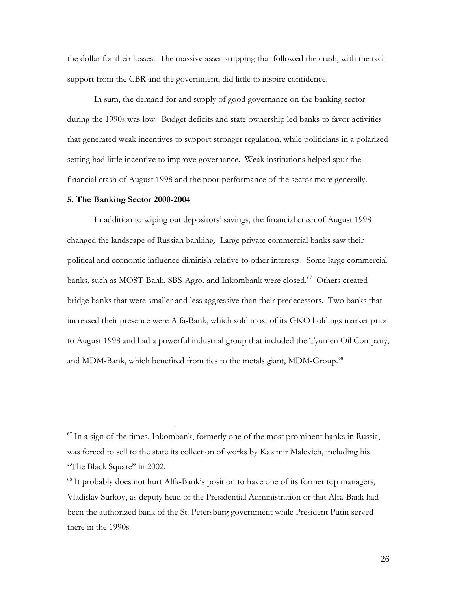the dollar for their losses. The massive asset-stripping that followed the crash, with the tacit support from the CBR and the government, did little to inspire confidence.

In sum, the demand for and supply of good governance on the banking sector during the 1990s was low. Budget deficits and state ownership led banks to favor activities that generated weak incentives to support stronger regulation, while politicians in a polarized setting had little incentive to improve governance. Weak institutions helped spur the financial crash of August 1998 and the poor performance of the sector more generally.

## **5. The Banking Sector 2000-2004**

 $\overline{a}$ 

In addition to wiping out depositors' savings, the financial crash of August 1998 changed the landscape of Russian banking. Large private commercial banks saw their political and economic influence diminish relative to other interests. Some large commercial banks, such as MOST-Bank, SBS-Agro, and Inkombank were closed.<sup>[67](#page-25-0)</sup> Others created bridge banks that were smaller and less aggressive than their predecessors. Two banks that increased their presence were Alfa-Bank, which sold most of its GKO holdings market prior to August 1998 and had a powerful industrial group that included the Tyumen Oil Company, and MDM-Bank, which benefited from ties to the metals giant, MDM-Group.<sup>[68](#page-25-1)</sup>

<span id="page-25-0"></span> $^{67}$  In a sign of the times, Inkombank, formerly one of the most prominent banks in Russia, was forced to sell to the state its collection of works by Kazimir Malevich, including his "The Black Square" in 2002.

<span id="page-25-1"></span><sup>&</sup>lt;sup>68</sup> It probably does not hurt Alfa-Bank's position to have one of its former top managers, Vladislav Surkov, as deputy head of the Presidential Administration or that Alfa-Bank had been the authorized bank of the St. Petersburg government while President Putin served there in the 1990s.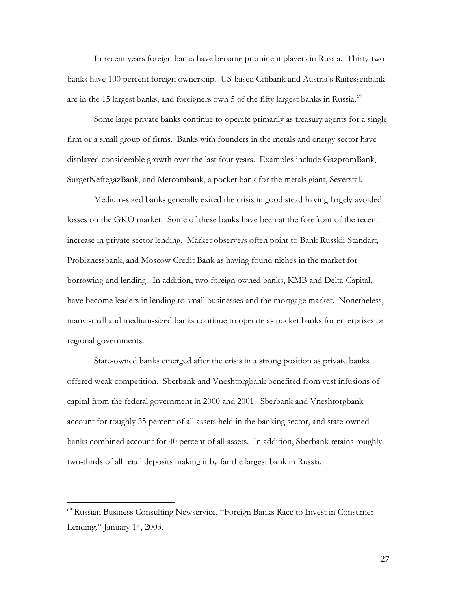In recent years foreign banks have become prominent players in Russia. Thirty-two banks have 100 percent foreign ownership. US-based Citibank and Austria's Raifessenbank are in the 15 largest banks, and foreigners own 5 of the fifty largest banks in Russia. $^{69}$  $^{69}$  $^{69}$ 

Some large private banks continue to operate primarily as treasury agents for a single firm or a small group of firms. Banks with founders in the metals and energy sector have displayed considerable growth over the last four years. Examples include GazpromBank, SurgetNeftegazBank, and Metcombank, a pocket bank for the metals giant, Severstal.

Medium-sized banks generally exited the crisis in good stead having largely avoided losses on the GKO market. Some of these banks have been at the forefront of the recent increase in private sector lending. Market observers often point to Bank Russkii-Standart, Probiznessbank, and Moscow Credit Bank as having found niches in the market for borrowing and lending. In addition, two foreign owned banks, KMB and Delta-Capital, have become leaders in lending to small businesses and the mortgage market. Nonetheless, many small and medium-sized banks continue to operate as pocket banks for enterprises or regional governments.

State-owned banks emerged after the crisis in a strong position as private banks offered weak competition. Sberbank and Vneshtorgbank benefited from vast infusions of capital from the federal government in 2000 and 2001. Sberbank and Vneshtorgbank account for roughly 35 percent of all assets held in the banking sector, and state-owned banks combined account for 40 percent of all assets. In addition, Sberbank retains roughly two-thirds of all retail deposits making it by far the largest bank in Russia.

<span id="page-26-0"></span><sup>69</sup> Russian Business Consulting Newservice, "Foreign Banks Race to Invest in Consumer Lending," January 14, 2003.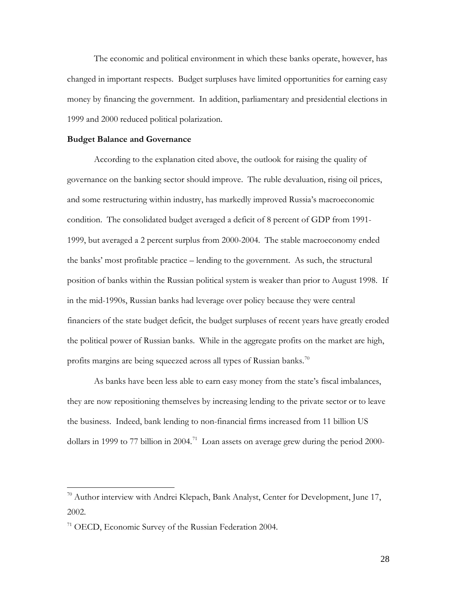The economic and political environment in which these banks operate, however, has changed in important respects. Budget surpluses have limited opportunities for earning easy money by financing the government. In addition, parliamentary and presidential elections in 1999 and 2000 reduced political polarization.

#### **Budget Balance and Governance**

According to the explanation cited above, the outlook for raising the quality of governance on the banking sector should improve. The ruble devaluation, rising oil prices, and some restructuring within industry, has markedly improved Russia's macroeconomic condition. The consolidated budget averaged a deficit of 8 percent of GDP from 1991- 1999, but averaged a 2 percent surplus from 2000-2004. The stable macroeconomy ended the banks' most profitable practice – lending to the government. As such, the structural position of banks within the Russian political system is weaker than prior to August 1998. If in the mid-1990s, Russian banks had leverage over policy because they were central financiers of the state budget deficit, the budget surpluses of recent years have greatly eroded the political power of Russian banks. While in the aggregate profits on the market are high, profits margins are being squeezed across all types of Russian banks.<sup>[70](#page-27-0)</sup>

As banks have been less able to earn easy money from the state's fiscal imbalances, they are now repositioning themselves by increasing lending to the private sector or to leave the business. Indeed, bank lending to non-financial firms increased from 11 billion US dollars in 1999 to 77 billion in 2004.<sup>[71](#page-27-1)</sup> Loan assets on average grew during the period 2000-

<span id="page-27-0"></span> $70$  Author interview with Andrei Klepach, Bank Analyst, Center for Development, June 17, 2002.

<span id="page-27-1"></span><sup>&</sup>lt;sup>71</sup> OECD, Economic Survey of the Russian Federation 2004.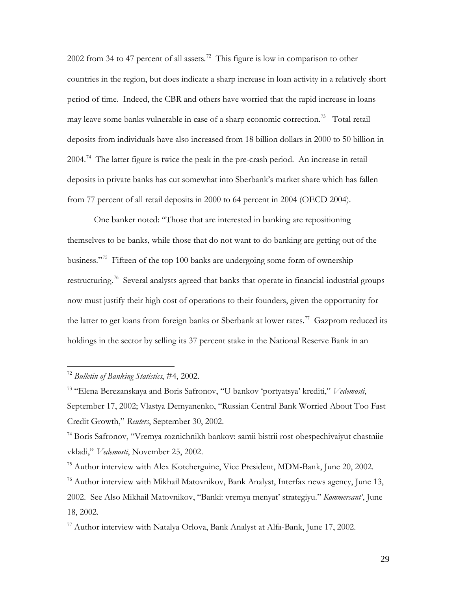2002 from 34 to 47 percent of all assets.<sup>[72](#page-28-0)</sup> This figure is low in comparison to other countries in the region, but does indicate a sharp increase in loan activity in a relatively short period of time. Indeed, the CBR and others have worried that the rapid increase in loans may leave some banks vulnerable in case of a sharp economic correction.<sup>[73](#page-28-1)</sup> Total retail deposits from individuals have also increased from 18 billion dollars in 2000 to 50 billion in 2004.<sup>[74](#page-28-2)</sup> The latter figure is twice the peak in the pre-crash period. An increase in retail deposits in private banks has cut somewhat into Sberbank's market share which has fallen from 77 percent of all retail deposits in 2000 to 64 percent in 2004 (OECD 2004).

One banker noted: "Those that are interested in banking are repositioning themselves to be banks, while those that do not want to do banking are getting out of the business."<sup>[75](#page-28-3)</sup> Fifteen of the top 100 banks are undergoing some form of ownership restructuring.<sup>[76](#page-28-4)</sup> Several analysts agreed that banks that operate in financial-industrial groups now must justify their high cost of operations to their founders, given the opportunity for the latter to get loans from foreign banks or Sberbank at lower rates.<sup>77</sup> Gazprom reduced its holdings in the sector by selling its 37 percent stake in the National Reserve Bank in an

<span id="page-28-0"></span><sup>72</sup> *Bulletin of Banking Statistics*, #4, 2002.

<span id="page-28-1"></span><sup>73</sup> "Elena Berezanskaya and Boris Safronov, "U bankov 'portyatsya' krediti," *Vedemosti*, September 17, 2002; Vlastya Demyanenko, "Russian Central Bank Worried About Too Fast Credit Growth," *Reuters*, September 30, 2002.

<span id="page-28-2"></span><sup>74</sup> Boris Safronov, "Vremya roznichnikh bankov: samii bistrii rost obespechivaiyut chastniie vkladi," *Vedemosti*, November 25, 2002.

<span id="page-28-3"></span><sup>&</sup>lt;sup>75</sup> Author interview with Alex Kotcherguine, Vice President, MDM-Bank, June 20, 2002.

<span id="page-28-4"></span> $76$  Author interview with Mikhail Matovnikov, Bank Analyst, Interfax news agency, June 13, 2002. See Also Mikhail Matovnikov, "Banki: vremya menyat' strategiyu." *Kommersant'*, June 18, 2002.

<span id="page-28-5"></span> $^{77}$  Author interview with Natalya Orlova, Bank Analyst at Alfa-Bank, June 17, 2002.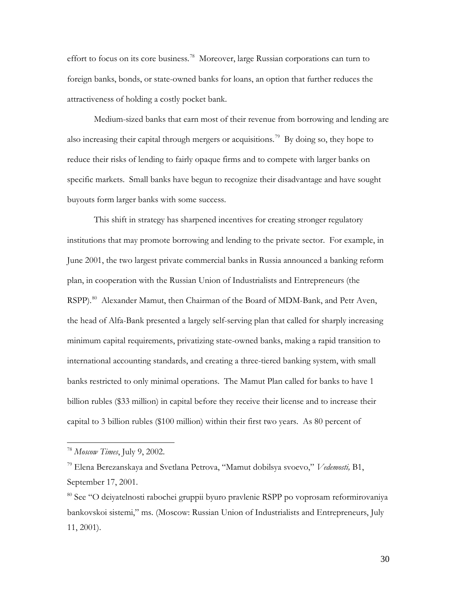effort to focus on its core business.<sup>[78](#page-29-0)</sup> Moreover, large Russian corporations can turn to foreign banks, bonds, or state-owned banks for loans, an option that further reduces the attractiveness of holding a costly pocket bank.

Medium-sized banks that earn most of their revenue from borrowing and lending are also increasing their capital through mergers or acquisitions.<sup>[79](#page-29-1)</sup> By doing so, they hope to reduce their risks of lending to fairly opaque firms and to compete with larger banks on specific markets. Small banks have begun to recognize their disadvantage and have sought buyouts form larger banks with some success.

This shift in strategy has sharpened incentives for creating stronger regulatory institutions that may promote borrowing and lending to the private sector. For example, in June 2001, the two largest private commercial banks in Russia announced a banking reform plan, in cooperation with the Russian Union of Industrialists and Entrepreneurs (the RSPP).<sup>[80](#page-29-2)</sup> Alexander Mamut, then Chairman of the Board of MDM-Bank, and Petr Aven, the head of Alfa-Bank presented a largely self-serving plan that called for sharply increasing minimum capital requirements, privatizing state-owned banks, making a rapid transition to international accounting standards, and creating a three-tiered banking system, with small banks restricted to only minimal operations. The Mamut Plan called for banks to have 1 billion rubles (\$33 million) in capital before they receive their license and to increase their capital to 3 billion rubles (\$100 million) within their first two years. As 80 percent of

<span id="page-29-0"></span><sup>78</sup> *Moscow Times*, July 9, 2002.

<span id="page-29-1"></span><sup>79</sup> Elena Berezanskaya and Svetlana Petrova, "Mamut dobilsya svoevo," *Vedemosti,* B1, September 17, 2001.

<span id="page-29-2"></span><sup>80</sup> See "O deiyatelnosti rabochei gruppii byuro pravlenie RSPP po voprosam reformirovaniya bankovskoi sistemi," ms. (Moscow: Russian Union of Industrialists and Entrepreneurs, July 11, 2001).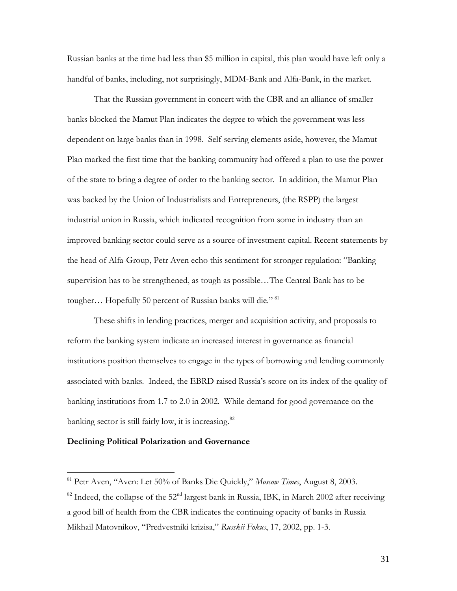Russian banks at the time had less than \$5 million in capital, this plan would have left only a handful of banks, including, not surprisingly, MDM-Bank and Alfa-Bank, in the market.

That the Russian government in concert with the CBR and an alliance of smaller banks blocked the Mamut Plan indicates the degree to which the government was less dependent on large banks than in 1998. Self-serving elements aside, however, the Mamut Plan marked the first time that the banking community had offered a plan to use the power of the state to bring a degree of order to the banking sector. In addition, the Mamut Plan was backed by the Union of Industrialists and Entrepreneurs, (the RSPP) the largest industrial union in Russia, which indicated recognition from some in industry than an improved banking sector could serve as a source of investment capital. Recent statements by the head of Alfa-Group, Petr Aven echo this sentiment for stronger regulation: "Banking supervision has to be strengthened, as tough as possible…The Central Bank has to be tougher... Hopefully 50 percent of Russian banks will die."<sup>[81](#page-30-0)</sup>

These shifts in lending practices, merger and acquisition activity, and proposals to reform the banking system indicate an increased interest in governance as financial institutions position themselves to engage in the types of borrowing and lending commonly associated with banks. Indeed, the EBRD raised Russia's score on its index of the quality of banking institutions from 1.7 to 2.0 in 2002. While demand for good governance on the banking sector is still fairly low, it is increasing. $82$ 

## **Declining Political Polarization and Governance**

<span id="page-30-0"></span><sup>81</sup> Petr Aven, "Aven: Let 50% of Banks Die Quickly," *Moscow Times*, August 8, 2003.

<span id="page-30-1"></span> $82$  Indeed, the collapse of the 52<sup>nd</sup> largest bank in Russia, IBK, in March 2002 after receiving a good bill of health from the CBR indicates the continuing opacity of banks in Russia Mikhail Matovnikov, "Predvestniki krizisa," *Russkii Fokus*, 17, 2002, pp. 1-3.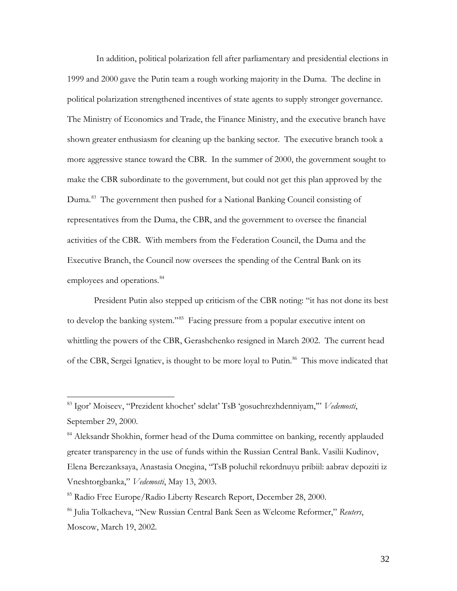In addition, political polarization fell after parliamentary and presidential elections in 1999 and 2000 gave the Putin team a rough working majority in the Duma. The decline in political polarization strengthened incentives of state agents to supply stronger governance. The Ministry of Economics and Trade, the Finance Ministry, and the executive branch have shown greater enthusiasm for cleaning up the banking sector. The executive branch took a more aggressive stance toward the CBR. In the summer of 2000, the government sought to make the CBR subordinate to the government, but could not get this plan approved by the Duma.<sup>83</sup> The government then pushed for a National Banking Council consisting of representatives from the Duma, the CBR, and the government to oversee the financial activities of the CBR. With members from the Federation Council, the Duma and the Executive Branch, the Council now oversees the spending of the Central Bank on its employees and operations.<sup>[84](#page-31-1)</sup>

President Putin also stepped up criticism of the CBR noting: "it has not done its best to develop the banking system."<sup>[85](#page-31-2)</sup> Facing pressure from a popular executive intent on whittling the powers of the CBR, Gerashchenko resigned in March 2002. The current head of the CBR, Sergei Ignatiev, is thought to be more loyal to Putin.<sup>[86](#page-31-3)</sup> This move indicated that

<span id="page-31-0"></span><sup>83</sup> Igor' Moiseev, "Prezident khochet' sdelat' TsB 'gosuchrezhdenniyam,'" *Vedemosti*, September 29, 2000.

<span id="page-31-1"></span><sup>&</sup>lt;sup>84</sup> Aleksandr Shokhin, former head of the Duma committee on banking, recently applauded greater transparency in the use of funds within the Russian Central Bank. Vasilii Kudinov, Elena Berezanksaya, Anastasia Onegina, "TsB poluchil rekordnuyu pribiil: aabrav depoziti iz Vneshtorgbanka," *Vedemosti*, May 13, 2003.

<span id="page-31-2"></span><sup>85</sup> Radio Free Europe/Radio Liberty Research Report, December 28, 2000.

<span id="page-31-3"></span><sup>86</sup> Julia Tolkacheva, "New Russian Central Bank Seen as Welcome Reformer," *Reuters*, Moscow, March 19, 2002.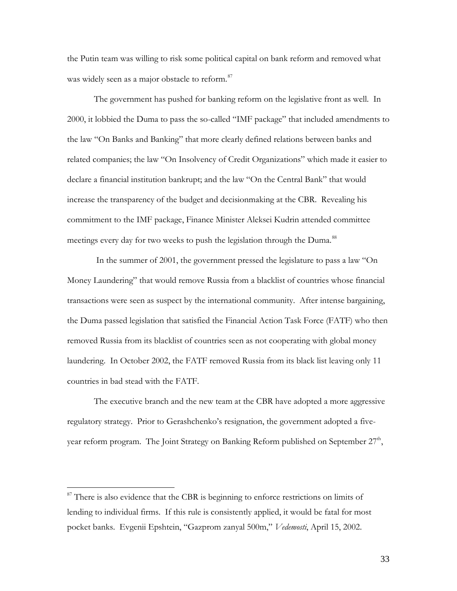the Putin team was willing to risk some political capital on bank reform and removed what was widely seen as a major obstacle to reform.<sup>[87](#page-32-0)</sup>

The government has pushed for banking reform on the legislative front as well. In 2000, it lobbied the Duma to pass the so-called "IMF package" that included amendments to the law "On Banks and Banking" that more clearly defined relations between banks and related companies; the law "On Insolvency of Credit Organizations" which made it easier to declare a financial institution bankrupt; and the law "On the Central Bank" that would increase the transparency of the budget and decisionmaking at the CBR. Revealing his commitment to the IMF package, Finance Minister Aleksei Kudrin attended committee meetings every day for two weeks to push the legislation through the Duma.<sup>[88](#page-32-1)</sup>

In the summer of 2001, the government pressed the legislature to pass a law "On Money Laundering" that would remove Russia from a blacklist of countries whose financial transactions were seen as suspect by the international community. After intense bargaining, the Duma passed legislation that satisfied the Financial Action Task Force (FATF) who then removed Russia from its blacklist of countries seen as not cooperating with global money laundering. In October 2002, the FATF removed Russia from its black list leaving only 11 countries in bad stead with the FATF.

<span id="page-32-1"></span>The executive branch and the new team at the CBR have adopted a more aggressive regulatory strategy. Prior to Gerashchenko's resignation, the government adopted a fiveyear reform program. The Joint Strategy on Banking Reform published on September  $27<sup>th</sup>$ ,

<span id="page-32-0"></span> $87$  There is also evidence that the CBR is beginning to enforce restrictions on limits of lending to individual firms. If this rule is consistently applied, it would be fatal for most pocket banks. Evgenii Epshtein, "Gazprom zanyal 500m," *Vedemosti*, April 15, 2002.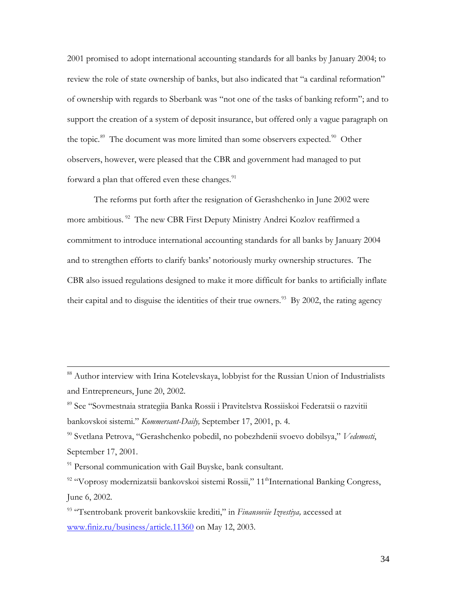2001 promised to adopt international accounting standards for all banks by January 2004; to review the role of state ownership of banks, but also indicated that "a cardinal reformation" of ownership with regards to Sberbank was "not one of the tasks of banking reform"; and to support the creation of a system of deposit insurance, but offered only a vague paragraph on the topic.<sup>89</sup> The document was more limited than some observers expected.<sup>[90](#page-33-1)</sup> Other observers, however, were pleased that the CBR and government had managed to put forward a plan that offered even these changes.<sup>[91](#page-33-2)</sup>

The reforms put forth after the resignation of Gerashchenko in June 2002 were more ambitious.<sup>[92](#page-33-3)</sup> The new CBR First Deputy Ministry Andrei Kozlov reaffirmed a commitment to introduce international accounting standards for all banks by January 2004 and to strengthen efforts to clarify banks' notoriously murky ownership structures. The CBR also issued regulations designed to make it more difficult for banks to artificially inflate their capital and to disguise the identities of their true owners.<sup>[93](#page-33-4)</sup> By 2002, the rating agency

<sup>88</sup> Author interview with Irina Kotelevskaya, lobbyist for the Russian Union of Industrialists and Entrepreneurs, June 20, 2002.

<span id="page-33-0"></span><sup>89</sup> See "Sovmestnaia strategiia Banka Rossii i Pravitelstva Rossiiskoi Federatsii o razvitii bankovskoi sistemi." *Kommersant-Daily,* September 17, 2001, p. 4*.*

<span id="page-33-1"></span><sup>90</sup> Svetlana Petrova, "Gerashchenko pobedil, no pobezhdenii svoevo dobilsya," *Vedemosti*, September 17, 2001.

<span id="page-33-2"></span><sup>&</sup>lt;sup>91</sup> Personal communication with Gail Buyske, bank consultant.

<span id="page-33-3"></span><sup>&</sup>lt;sup>92</sup> "Voprosy modernizatsii bankovskoi sistemi Rossii," 11<sup>th</sup>International Banking Congress, June 6, 2002.

<span id="page-33-4"></span><sup>93</sup> "Tsentrobank proverit bankovskiie krediti," in *Finansoviie Izvestiya,* accessed at [www.finiz.ru/business/article.11360](http://www.finiz.ru/business/article.11360) on May 12, 2003.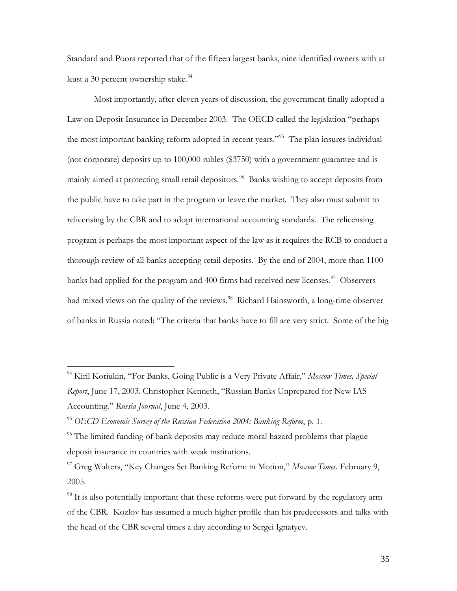Standard and Poors reported that of the fifteen largest banks, nine identified owners with at least a 30 percent ownership stake. $94$ 

Most importantly, after eleven years of discussion, the government finally adopted a Law on Deposit Insurance in December 2003. The OECD called the legislation "perhaps the most important banking reform adopted in recent years."<sup>95</sup> The plan insures individual (not corporate) deposits up to 100,000 rubles (\$3750) with a government guarantee and is mainly aimed at protecting small retail depositors.<sup>[96](#page-34-2)</sup> Banks wishing to accept deposits from the public have to take part in the program or leave the market. They also must submit to relicensing by the CBR and to adopt international accounting standards. The relicensing program is perhaps the most important aspect of the law as it requires the RCB to conduct a thorough review of all banks accepting retail deposits. By the end of 2004, more than 1100 banks had applied for the program and 400 firms had received new licenses. $97$  Observers had mixed views on the quality of the reviews.<sup>[98](#page-34-4)</sup> Richard Hainsworth, a long-time observer of banks in Russia noted: "The criteria that banks have to fill are very strict. Some of the big

<span id="page-34-0"></span><sup>94</sup> Kiril Koriukin, "For Banks, Going Public is a Very Private Affair," *Moscow Times, Special Report*, June 17, 2003. Christopher Kenneth, "Russian Banks Unprepared for New IAS Accounting." *Russia Journal*, June 4, 2003.

<span id="page-34-1"></span><sup>95</sup> *OECD Economic Survey of the Russian Federation 2004: Banking Reform*, p. 1.

<span id="page-34-2"></span> $\%$  The limited funding of bank deposits may reduce moral hazard problems that plague deposit insurance in countries with weak institutions.

<span id="page-34-3"></span><sup>97</sup> Greg Walters, "Key Changes Set Banking Reform in Motion," *Moscow Times*. February 9, 2005.

<span id="page-34-4"></span> $98$  It is also potentially important that these reforms were put forward by the regulatory arm of the CBR. Kozlov has assumed a much higher profile than his predecessors and talks with the head of the CBR several times a day according to Sergei Ignatyev.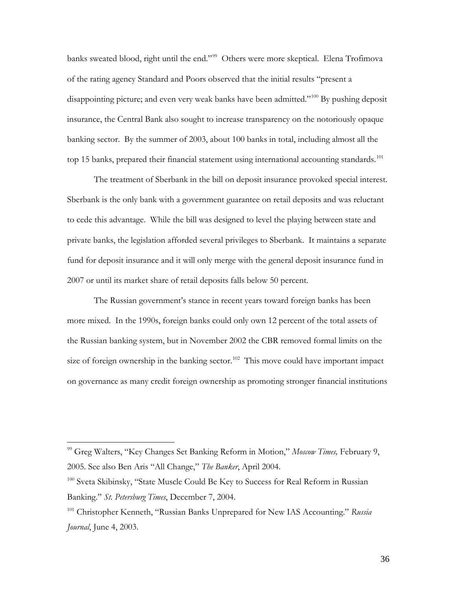banks sweated blood, right until the end."<sup>[99](#page-35-0)</sup> Others were more skeptical. Elena Trofimova of the rating agency Standard and Poors observed that the initial results "present a disappointing picture; and even very weak banks have been admitted."<sup>[100](#page-35-1)</sup> By pushing deposit insurance, the Central Bank also sought to increase transparency on the notoriously opaque banking sector. By the summer of 2003, about 100 banks in total, including almost all the top 15 banks, prepared their financial statement using international accounting standards.<sup>[101](#page-35-2)</sup>

The treatment of Sberbank in the bill on deposit insurance provoked special interest. Sberbank is the only bank with a government guarantee on retail deposits and was reluctant to cede this advantage. While the bill was designed to level the playing between state and private banks, the legislation afforded several privileges to Sberbank. It maintains a separate fund for deposit insurance and it will only merge with the general deposit insurance fund in 2007 or until its market share of retail deposits falls below 50 percent.

The Russian government's stance in recent years toward foreign banks has been more mixed. In the 1990s, foreign banks could only own 12 percent of the total assets of the Russian banking system, but in November 2002 the CBR removed formal limits on the size of foreign ownership in the banking sector.<sup>[102](#page-35-3)</sup> This move could have important impact on governance as many credit foreign ownership as promoting stronger financial institutions

<span id="page-35-3"></span><span id="page-35-0"></span><sup>99</sup> Greg Walters, "Key Changes Set Banking Reform in Motion," *Moscow Times,* February 9, 2005. See also Ben Aris "All Change," *The Banker*, April 2004.

<span id="page-35-1"></span><sup>&</sup>lt;sup>100</sup> Sveta Skibinsky, "State Muscle Could Be Key to Success for Real Reform in Russian Banking." *St. Petersburg Times*, December 7, 2004.

<span id="page-35-2"></span><sup>101</sup> Christopher Kenneth, "Russian Banks Unprepared for New IAS Accounting." *Russia Journal*, June 4, 2003.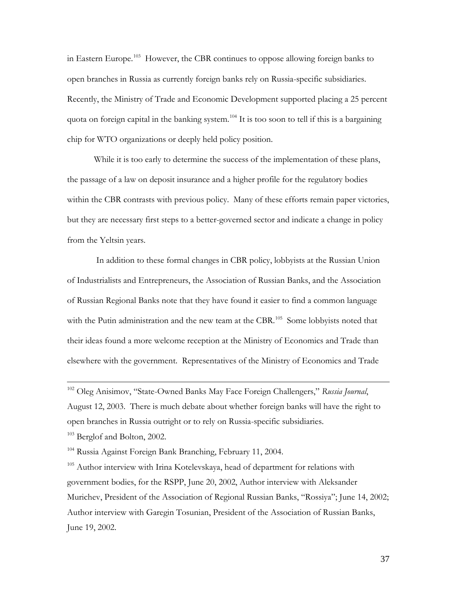in Eastern Europe.<sup>103</sup> However, the CBR continues to oppose allowing foreign banks to open branches in Russia as currently foreign banks rely on Russia-specific subsidiaries. Recently, the Ministry of Trade and Economic Development supported placing a 25 percent quota on foreign capital in the banking system.<sup>[104](#page-36-1)</sup> It is too soon to tell if this is a bargaining chip for WTO organizations or deeply held policy position.

While it is too early to determine the success of the implementation of these plans, the passage of a law on deposit insurance and a higher profile for the regulatory bodies within the CBR contrasts with previous policy. Many of these efforts remain paper victories, but they are necessary first steps to a better-governed sector and indicate a change in policy from the Yeltsin years.

In addition to these formal changes in CBR policy, lobbyists at the Russian Union of Industrialists and Entrepreneurs, the Association of Russian Banks, and the Association of Russian Regional Banks note that they have found it easier to find a common language with the Putin administration and the new team at the CBR.<sup>[105](#page-36-2)</sup> Some lobbyists noted that their ideas found a more welcome reception at the Ministry of Economics and Trade than elsewhere with the government. Representatives of the Ministry of Economics and Trade

<sup>102</sup> Oleg Anisimov, "State-Owned Banks May Face Foreign Challengers," *Russia Journal*, August 12, 2003. There is much debate about whether foreign banks will have the right to open branches in Russia outright or to rely on Russia-specific subsidiaries.

<span id="page-36-0"></span><sup>103</sup> Berglof and Bolton, 2002.

 $\overline{a}$ 

<span id="page-36-1"></span><sup>104</sup> Russia Against Foreign Bank Branching, February 11, 2004.

<span id="page-36-2"></span><sup>105</sup> Author interview with Irina Kotelevskaya, head of department for relations with government bodies, for the RSPP, June 20, 2002, Author interview with Aleksander Murichev, President of the Association of Regional Russian Banks, "Rossiya"; June 14, 2002; Author interview with Garegin Tosunian, President of the Association of Russian Banks, June 19, 2002.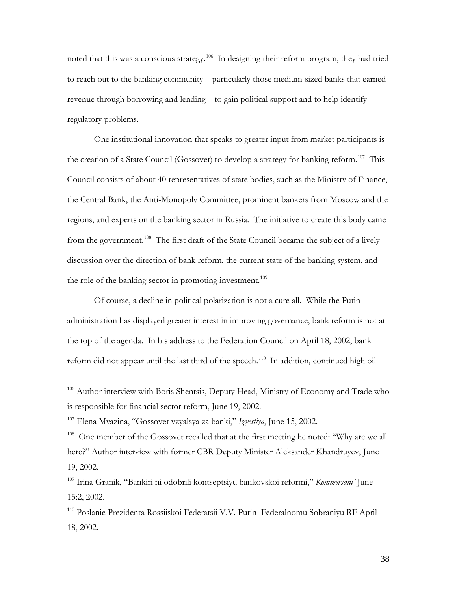noted that this was a conscious strategy.<sup>[106](#page-37-0)</sup> In designing their reform program, they had tried to reach out to the banking community – particularly those medium-sized banks that earned revenue through borrowing and lending – to gain political support and to help identify regulatory problems.

One institutional innovation that speaks to greater input from market participants is the creation of a State Council (Gossovet) to develop a strategy for banking reform.<sup>[107](#page-37-1)</sup> This Council consists of about 40 representatives of state bodies, such as the Ministry of Finance, the Central Bank, the Anti-Monopoly Committee, prominent bankers from Moscow and the regions, and experts on the banking sector in Russia. The initiative to create this body came from the government.<sup>108</sup> The first draft of the State Council became the subject of a lively discussion over the direction of bank reform, the current state of the banking system, and the role of the banking sector in promoting investment.<sup>[109](#page-37-3)</sup>

Of course, a decline in political polarization is not a cure all. While the Putin administration has displayed greater interest in improving governance, bank reform is not at the top of the agenda. In his address to the Federation Council on April 18, 2002, bank reform did not appear until the last third of the speech.<sup>[110](#page-37-4)</sup> In addition, continued high oil

<span id="page-37-0"></span><sup>&</sup>lt;sup>106</sup> Author interview with Boris Shentsis, Deputy Head, Ministry of Economy and Trade who is responsible for financial sector reform, June 19, 2002.

<span id="page-37-1"></span><sup>107</sup> Elena Myazina, "Gossovet vzyalsya za banki," *Izvestiya*, June 15, 2002.

<span id="page-37-2"></span><sup>&</sup>lt;sup>108</sup> One member of the Gossovet recalled that at the first meeting he noted: "Why are we all here?" Author interview with former CBR Deputy Minister Aleksander Khandruyev, June 19, 2002.

<span id="page-37-3"></span><sup>109</sup> Irina Granik, "Bankiri ni odobrili kontseptsiyu bankovskoi reformi," *Kommersant'* June 15:2, 2002.

<span id="page-37-4"></span><sup>110</sup> Poslanie Prezidenta Rossiiskoi Federatsii V.V. Putin Federalnomu Sobraniyu RF April 18, 2002.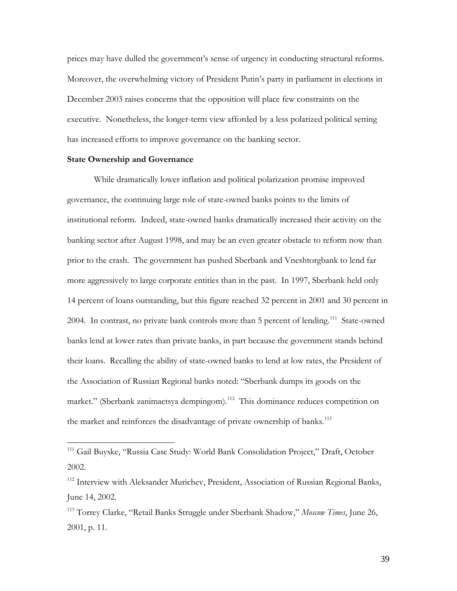prices may have dulled the government's sense of urgency in conducting structural reforms. Moreover, the overwhelming victory of President Putin's party in parliament in elections in December 2003 raises concerns that the opposition will place few constraints on the executive. Nonetheless, the longer-term view afforded by a less polarized political setting has increased efforts to improve governance on the banking sector.

#### **State Ownership and Governance**

 $\overline{a}$ 

While dramatically lower inflation and political polarization promise improved governance, the continuing large role of state-owned banks points to the limits of institutional reform. Indeed, state-owned banks dramatically increased their activity on the banking sector after August 1998, and may be an even greater obstacle to reform now than prior to the crash. The government has pushed Sberbank and Vneshtorgbank to lend far more aggressively to large corporate entities than in the past. In 1997, Sberbank held only 14 percent of loans outstanding, but this figure reached 32 percent in 2001 and 30 percent in 2004. In contrast, no private bank controls more than 5 percent of lending.<sup>111</sup> State-owned banks lend at lower rates than private banks, in part because the government stands behind their loans. Recalling the ability of state-owned banks to lend at low rates, the President of the Association of Russian Regional banks noted: "Sberbank dumps its goods on the market." (Sberbank zanimaetsya dempingom).<sup>[112](#page-38-1)</sup> This dominance reduces competition on the market and reinforces the disadvantage of private ownership of banks.<sup>[113](#page-38-2)</sup>

<span id="page-38-0"></span><sup>&</sup>lt;sup>111</sup> Gail Buyske, "Russia Case Study: World Bank Consolidation Project," Draft, October 2002.

<span id="page-38-1"></span><sup>&</sup>lt;sup>112</sup> Interview with Aleksander Murichev, President, Association of Russian Regional Banks, June 14, 2002.

<span id="page-38-2"></span><sup>113</sup> Torrey Clarke, "Retail Banks Struggle under Sberbank Shadow," *Moscow Times*, June 26, 2001, p. 11.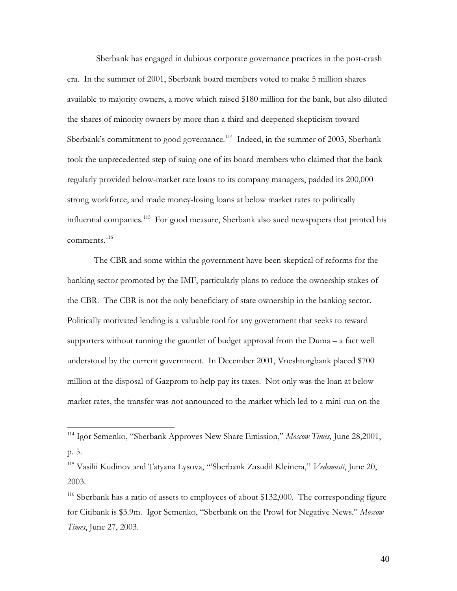Sberbank has engaged in dubious corporate governance practices in the post-crash era. In the summer of 2001, Sberbank board members voted to make 5 million shares available to majority owners, a move which raised \$180 million for the bank, but also diluted the shares of minority owners by more than a third and deepened skepticism toward Sberbank's commitment to good governance.<sup>114</sup> Indeed, in the summer of 2003, Sberbank took the unprecedented step of suing one of its board members who claimed that the bank regularly provided below-market rate loans to its company managers, padded its 200,000 strong workforce, and made money-losing loans at below market rates to politically influential companies.[115](#page-39-1) For good measure, Sberbank also sued newspapers that printed his comments.<sup>[116](#page-39-2)</sup>

The CBR and some within the government have been skeptical of reforms for the banking sector promoted by the IMF, particularly plans to reduce the ownership stakes of the CBR. The CBR is not the only beneficiary of state ownership in the banking sector. Politically motivated lending is a valuable tool for any government that seeks to reward supporters without running the gauntlet of budget approval from the Duma – a fact well understood by the current government. In December 2001, Vneshtorgbank placed \$700 million at the disposal of Gazprom to help pay its taxes. Not only was the loan at below market rates, the transfer was not announced to the market which led to a mini-run on the

<span id="page-39-0"></span><sup>114</sup> Igor Semenko, "Sberbank Approves New Share Emission," *Moscow Times,* June 28,2001, p. 5.

<span id="page-39-1"></span><sup>115</sup> Vasilii Kudinov and Tatyana Lysova, "'Sberbank Zasudil Kleinera," *Vedemosti*, June 20, 2003.

<span id="page-39-2"></span><sup>&</sup>lt;sup>116</sup> Sberbank has a ratio of assets to employees of about \$132,000. The corresponding figure for Citibank is \$3.9m. Igor Semenko, "Sberbank on the Prowl for Negative News." *Moscow Times*, June 27, 2003.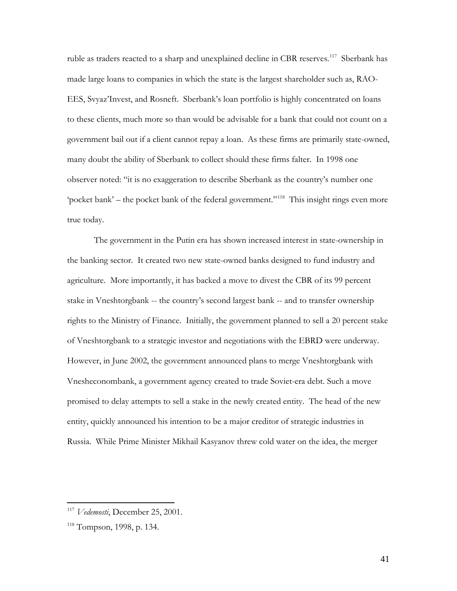ruble as traders reacted to a sharp and unexplained decline in CBR reserves.<sup>[117](#page-40-0)</sup> Sberbank has made large loans to companies in which the state is the largest shareholder such as, RAO-EES, Svyaz'Invest, and Rosneft. Sberbank's loan portfolio is highly concentrated on loans to these clients, much more so than would be advisable for a bank that could not count on a government bail out if a client cannot repay a loan. As these firms are primarily state-owned, many doubt the ability of Sberbank to collect should these firms falter. In 1998 one observer noted: "it is no exaggeration to describe Sberbank as the country's number one 'pocket bank' – the pocket bank of the federal government."<sup>[118](#page-40-1)</sup> This insight rings even more true today.

The government in the Putin era has shown increased interest in state-ownership in the banking sector. It created two new state-owned banks designed to fund industry and agriculture. More importantly, it has backed a move to divest the CBR of its 99 percent stake in Vneshtorgbank -- the country's second largest bank -- and to transfer ownership rights to the Ministry of Finance. Initially, the government planned to sell a 20 percent stake of Vneshtorgbank to a strategic investor and negotiations with the EBRD were underway. However, in June 2002, the government announced plans to merge Vneshtorgbank with Vnesheconombank, a government agency created to trade Soviet-era debt. Such a move promised to delay attempts to sell a stake in the newly created entity. The head of the new entity, quickly announced his intention to be a major creditor of strategic industries in Russia. While Prime Minister Mikhail Kasyanov threw cold water on the idea, the merger

<span id="page-40-0"></span><sup>117</sup> *Vedemosti*, December 25, 2001.

<span id="page-40-1"></span><sup>118</sup> Tompson, 1998, p. 134.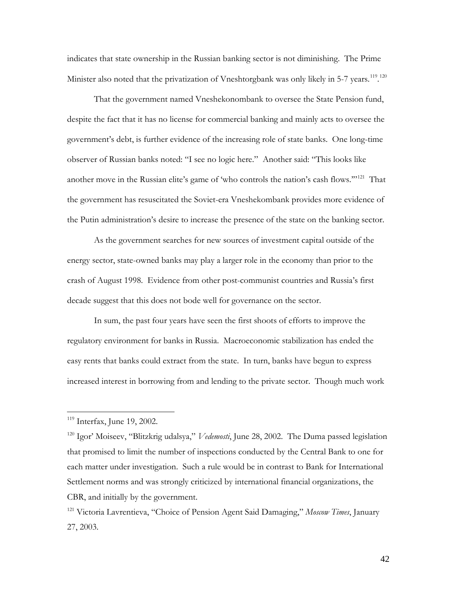indicates that state ownership in the Russian banking sector is not diminishing. The Prime Minister also noted that the privatization of Vneshtorgbank was only likely in 5-7 years.<sup>119</sup>.<sup>[120](#page-41-1)</sup>

That the government named Vneshekonombank to oversee the State Pension fund, despite the fact that it has no license for commercial banking and mainly acts to oversee the government's debt, is further evidence of the increasing role of state banks. One long-time observer of Russian banks noted: "I see no logic here." Another said: "This looks like another move in the Russian elite's game of 'who controls the nation's cash flows."<sup>[121](#page-41-2)</sup> That the government has resuscitated the Soviet-era Vneshekombank provides more evidence of the Putin administration's desire to increase the presence of the state on the banking sector.

As the government searches for new sources of investment capital outside of the energy sector, state-owned banks may play a larger role in the economy than prior to the crash of August 1998. Evidence from other post-communist countries and Russia's first decade suggest that this does not bode well for governance on the sector.

In sum, the past four years have seen the first shoots of efforts to improve the regulatory environment for banks in Russia. Macroeconomic stabilization has ended the easy rents that banks could extract from the state. In turn, banks have begun to express increased interest in borrowing from and lending to the private sector. Though much work

<span id="page-41-0"></span> $119$  Interfax, June 19, 2002.

<span id="page-41-1"></span><sup>120</sup> Igor' Moiseev, "Blitzkrig udalsya," *Vedemosti*, June 28, 2002. The Duma passed legislation that promised to limit the number of inspections conducted by the Central Bank to one for each matter under investigation. Such a rule would be in contrast to Bank for International Settlement norms and was strongly criticized by international financial organizations, the CBR, and initially by the government.

<span id="page-41-2"></span><sup>121</sup> Victoria Lavrentieva, "Choice of Pension Agent Said Damaging," *Moscow Times*, January 27, 2003.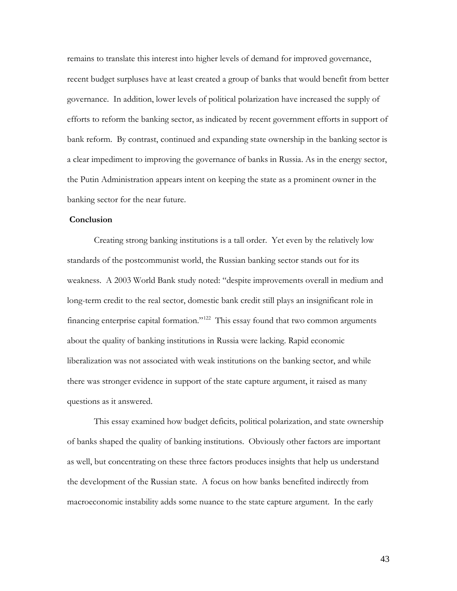remains to translate this interest into higher levels of demand for improved governance, recent budget surpluses have at least created a group of banks that would benefit from better governance. In addition, lower levels of political polarization have increased the supply of efforts to reform the banking sector, as indicated by recent government efforts in support of bank reform. By contrast, continued and expanding state ownership in the banking sector is a clear impediment to improving the governance of banks in Russia. As in the energy sector, the Putin Administration appears intent on keeping the state as a prominent owner in the banking sector for the near future.

#### **Conclusion**

Creating strong banking institutions is a tall order. Yet even by the relatively low standards of the postcommunist world, the Russian banking sector stands out for its weakness. A 2003 World Bank study noted: "despite improvements overall in medium and long-term credit to the real sector, domestic bank credit still plays an insignificant role in financing enterprise capital formation."<sup>[122](#page-42-0)</sup> This essay found that two common arguments about the quality of banking institutions in Russia were lacking. Rapid economic liberalization was not associated with weak institutions on the banking sector, and while there was stronger evidence in support of the state capture argument, it raised as many questions as it answered.

<span id="page-42-0"></span>This essay examined how budget deficits, political polarization, and state ownership of banks shaped the quality of banking institutions. Obviously other factors are important as well, but concentrating on these three factors produces insights that help us understand the development of the Russian state. A focus on how banks benefited indirectly from macroeconomic instability adds some nuance to the state capture argument. In the early

43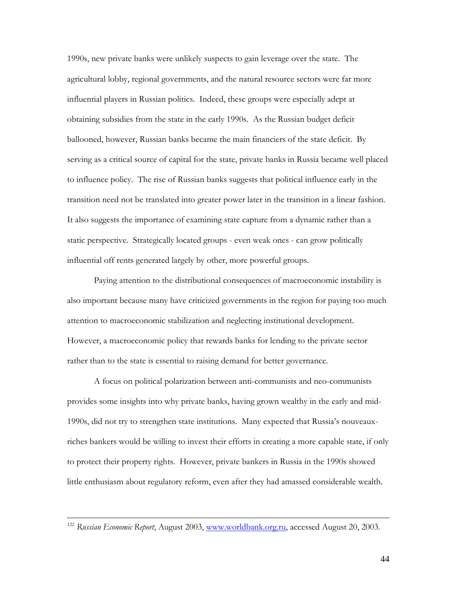1990s, new private banks were unlikely suspects to gain leverage over the state. The agricultural lobby, regional governments, and the natural resource sectors were far more influential players in Russian politics. Indeed, these groups were especially adept at obtaining subsidies from the state in the early 1990s. As the Russian budget deficit ballooned, however, Russian banks became the main financiers of the state deficit. By serving as a critical source of capital for the state, private banks in Russia became well placed to influence policy. The rise of Russian banks suggests that political influence early in the transition need not be translated into greater power later in the transition in a linear fashion. It also suggests the importance of examining state capture from a dynamic rather than a static perspective. Strategically located groups - even weak ones - can grow politically influential off rents generated largely by other, more powerful groups.

Paying attention to the distributional consequences of macroeconomic instability is also important because many have criticized governments in the region for paying too much attention to macroeconomic stabilization and neglecting institutional development. However, a macroeconomic policy that rewards banks for lending to the private sector rather than to the state is essential to raising demand for better governance.

A focus on political polarization between anti-communists and neo-communists provides some insights into why private banks, having grown wealthy in the early and mid-1990s, did not try to strengthen state institutions. Many expected that Russia's nouveauxriches bankers would be willing to invest their efforts in creating a more capable state, if only to protect their property rights. However, private bankers in Russia in the 1990s showed little enthusiasm about regulatory reform, even after they had amassed considerable wealth.

<sup>122</sup> *Russian Economic Report*, August 2003, [www.worldbank.org.ru,](http://www.worldbank.org.ru/) accessed August 20, 2003.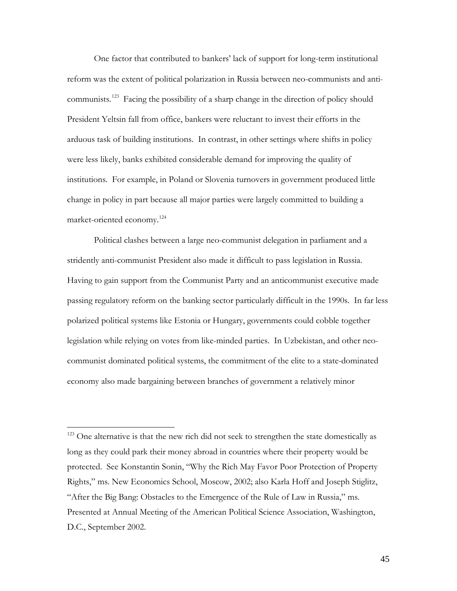One factor that contributed to bankers' lack of support for long-term institutional reform was the extent of political polarization in Russia between neo-communists and anti-communists.<sup>[123](#page-44-0)</sup> Facing the possibility of a sharp change in the direction of policy should President Yeltsin fall from office, bankers were reluctant to invest their efforts in the arduous task of building institutions. In contrast, in other settings where shifts in policy were less likely, banks exhibited considerable demand for improving the quality of institutions. For example, in Poland or Slovenia turnovers in government produced little change in policy in part because all major parties were largely committed to building a market-oriented economy.[124](#page-44-1)

Political clashes between a large neo-communist delegation in parliament and a stridently anti-communist President also made it difficult to pass legislation in Russia. Having to gain support from the Communist Party and an anticommunist executive made passing regulatory reform on the banking sector particularly difficult in the 1990s. In far less polarized political systems like Estonia or Hungary, governments could cobble together legislation while relying on votes from like-minded parties. In Uzbekistan, and other neocommunist dominated political systems, the commitment of the elite to a state-dominated economy also made bargaining between branches of government a relatively minor

<span id="page-44-1"></span><span id="page-44-0"></span><sup>&</sup>lt;sup>123</sup> One alternative is that the new rich did not seek to strengthen the state domestically as long as they could park their money abroad in countries where their property would be protected. See Konstantin Sonin, "Why the Rich May Favor Poor Protection of Property Rights," ms. New Economics School, Moscow, 2002; also Karla Hoff and Joseph Stiglitz, "After the Big Bang: Obstacles to the Emergence of the Rule of Law in Russia," ms. Presented at Annual Meeting of the American Political Science Association, Washington, D.C., September 2002.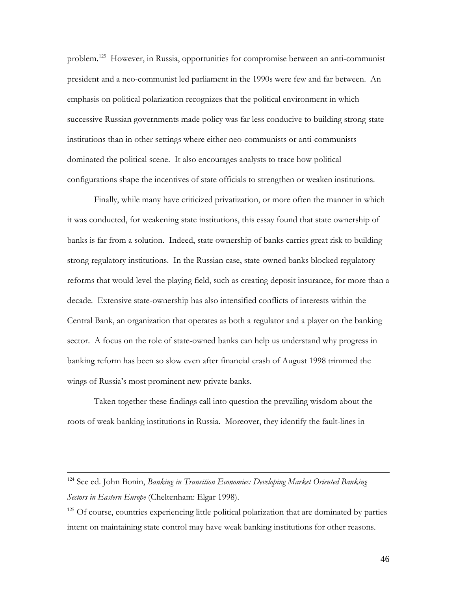problem.<sup>[125](#page-45-0)</sup> However, in Russia, opportunities for compromise between an anti-communist president and a neo-communist led parliament in the 1990s were few and far between. An emphasis on political polarization recognizes that the political environment in which successive Russian governments made policy was far less conducive to building strong state institutions than in other settings where either neo-communists or anti-communists dominated the political scene. It also encourages analysts to trace how political configurations shape the incentives of state officials to strengthen or weaken institutions.

Finally, while many have criticized privatization, or more often the manner in which it was conducted, for weakening state institutions, this essay found that state ownership of banks is far from a solution. Indeed, state ownership of banks carries great risk to building strong regulatory institutions. In the Russian case, state-owned banks blocked regulatory reforms that would level the playing field, such as creating deposit insurance, for more than a decade. Extensive state-ownership has also intensified conflicts of interests within the Central Bank, an organization that operates as both a regulator and a player on the banking sector. A focus on the role of state-owned banks can help us understand why progress in banking reform has been so slow even after financial crash of August 1998 trimmed the wings of Russia's most prominent new private banks.

Taken together these findings call into question the prevailing wisdom about the roots of weak banking institutions in Russia. Moreover, they identify the fault-lines in

<sup>124</sup> See ed. John Bonin, *Banking in Transition Economies: Developing Market Oriented Banking Sectors in Eastern Europe* (Cheltenham: Elgar 1998).

<span id="page-45-0"></span><sup>&</sup>lt;sup>125</sup> Of course, countries experiencing little political polarization that are dominated by parties intent on maintaining state control may have weak banking institutions for other reasons.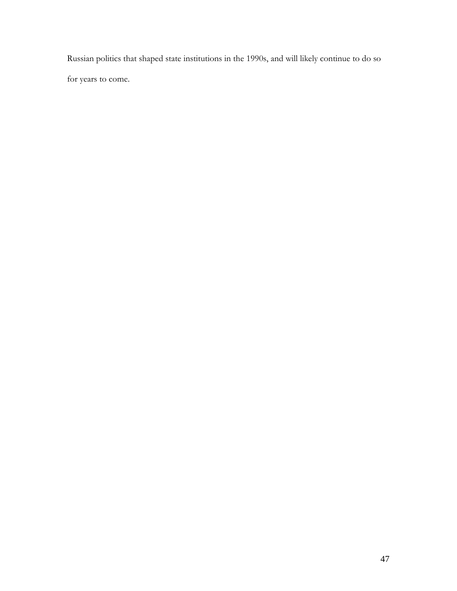Russian politics that shaped state institutions in the 1990s, and will likely continue to do so

for years to come.